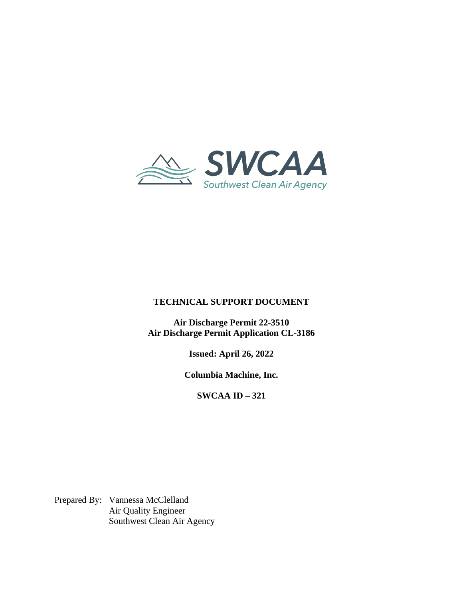

## **TECHNICAL SUPPORT DOCUMENT**

**Air Discharge Permit 22-3510 Air Discharge Permit Application CL-3186**

**Issued: April 26, 2022**

**Columbia Machine, Inc.** 

**SWCAA ID – 321**

Prepared By: Vannessa McClelland Air Quality Engineer Southwest Clean Air Agency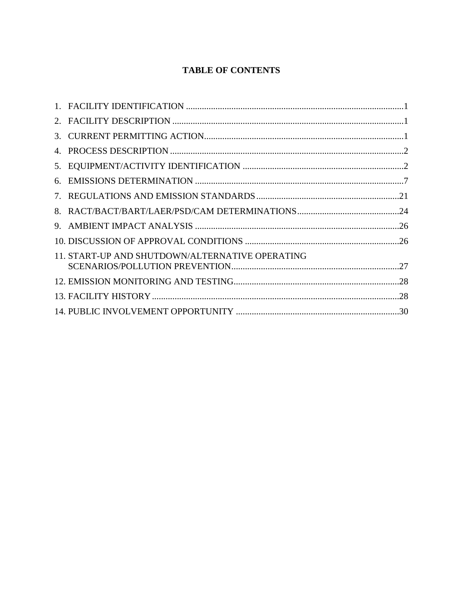# **TABLE OF CONTENTS**

| 11. START-UP AND SHUTDOWN/ALTERNATIVE OPERATING |  |
|-------------------------------------------------|--|
|                                                 |  |
|                                                 |  |
|                                                 |  |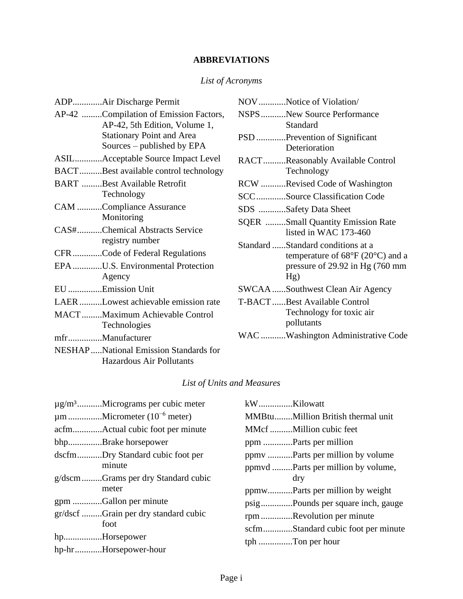# **ABBREVIATIONS**

# *List of Acronyms*

| ADPAir Discharge Permit                                           | NOV Notice of Violation/                        |
|-------------------------------------------------------------------|-------------------------------------------------|
| AP-42 Compilation of Emission Factors,                            | NSPSNew Source Performance                      |
| AP-42, 5th Edition, Volume 1,                                     | Standard                                        |
| <b>Stationary Point and Area</b>                                  | PSD Prevention of Significant                   |
| Sources $-$ published by EPA                                      | Deterioration                                   |
| ASILAcceptable Source Impact Level                                | RACTReasonably Available Control                |
| BACTBest available control technology                             | Technology                                      |
| <b>BART</b> Best Available Retrofit                               | RCW Revised Code of Washington                  |
| Technology                                                        | SCCSource Classification Code                   |
| CAM Compliance Assurance                                          | SDS Safety Data Sheet                           |
| Monitoring                                                        | <b>SQER</b> Small Quantity Emission Rate        |
| CAS#Chemical Abstracts Service                                    | listed in WAC 173-460                           |
| registry number                                                   | Standard Standard conditions at a               |
| CFRCode of Federal Regulations                                    | temperature of $68^{\circ}F(20^{\circ}C)$ and a |
| EPA U.S. Environmental Protection                                 | pressure of $29.92$ in Hg $(760$ mm             |
| Agency                                                            | Hg)                                             |
| EU Emission Unit                                                  | <b>SWCAA</b> Southwest Clean Air Agency         |
| LAERLowest achievable emission rate                               | T-BACTBest Available Control                    |
| MACTMaximum Achievable Control                                    | Technology for toxic air                        |
| Technologies                                                      | pollutants                                      |
| mfrManufacturer                                                   | WAC Washington Administrative Code              |
| NESHAPNational Emission Standards for<br>Hazardous Air Pollutants |                                                 |

## *List of Units and Measures*

| $\mu$ g/m <sup>3</sup> Micrograms per cubic meter | kWKilowatt |                                     |
|---------------------------------------------------|------------|-------------------------------------|
| $\mu$ m Micrometer (10 <sup>-6</sup> meter)       |            | MMBtuMillion British thermal unit   |
|                                                   |            | MMcf Million cubic feet             |
| bhpBrake horsepower                               |            |                                     |
| dscfmDry Standard cubic foot per                  |            |                                     |
| minute                                            |            | ppmvd  Parts per million by volume, |
| g/dscmGrams per dry Standard cubic                |            | dry                                 |
| meter                                             |            |                                     |
| gpm Gallon per minute                             |            | psigPounds per square inch, gauge   |
| gr/dscf Grain per dry standard cubic              |            | rpmRevolution per minute            |
| foot                                              |            | scfmStandard cubic foot per minute  |
| hpHorsepower                                      |            | tph Ton per hour                    |
| hp-hrHorsepower-hour                              |            |                                     |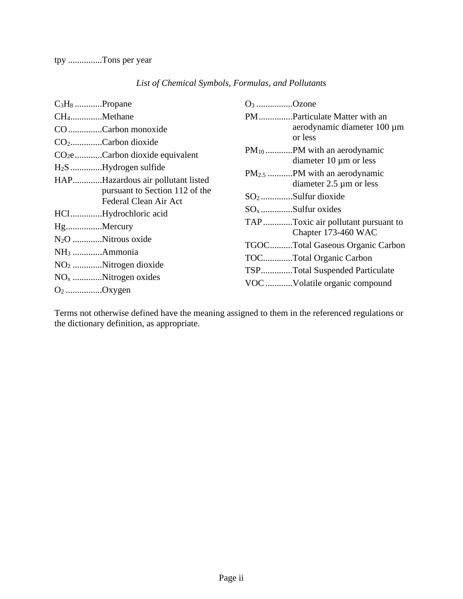| $C_3H_8$ Propane                                        | $O_3$ Ozone                                               |
|---------------------------------------------------------|-----------------------------------------------------------|
| CH <sub>4</sub> Methane                                 | PMParticulate Matter with an                              |
| COCarbon monoxide                                       | aerodynamic diameter 100 µm<br>or less                    |
| $CO_2$ Carbon dioxide                                   |                                                           |
| $CO2e$ Carbon dioxide equivalent                        | diameter $10 \mu m$ or less                               |
| $H_2S$ Hydrogen sulfide                                 |                                                           |
| HAPHazardous air pollutant listed                       | diameter $2.5 \mu m$ or less                              |
| pursuant to Section 112 of the<br>Federal Clean Air Act | $SO_2$ Sulfur dioxide                                     |
| HClHydrochloric acid                                    |                                                           |
| HgMercury                                               | TAPToxic air pollutant pursuant to<br>Chapter 173-460 WAC |
| N <sub>2</sub> O Nitrous oxide                          | TGOCTotal Gaseous Organic Carbon                          |
| NH <sub>3</sub> Ammonia                                 |                                                           |
| $NO2$ Nitrogen dioxide                                  | TOCTotal Organic Carbon                                   |
| $NOx$ Nitrogen oxides                                   | TSPTotal Suspended Particulate                            |
| $O_2$ Oxygen                                            | VOC Volatile organic compound                             |

## *List of Chemical Symbols, Formulas, and Pollutants*

Terms not otherwise defined have the meaning assigned to them in the referenced regulations or the dictionary definition, as appropriate.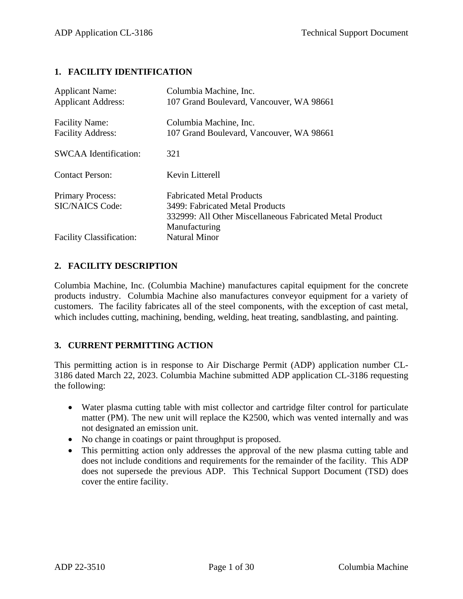#### **1. FACILITY IDENTIFICATION**

| <b>Applicant Name:</b><br><b>Applicant Address:</b> | Columbia Machine, Inc.<br>107 Grand Boulevard, Vancouver, WA 98661                                                              |
|-----------------------------------------------------|---------------------------------------------------------------------------------------------------------------------------------|
| <b>Facility Name:</b><br><b>Facility Address:</b>   | Columbia Machine, Inc.<br>107 Grand Boulevard, Vancouver, WA 98661                                                              |
| <b>SWCAA</b> Identification:                        | 321                                                                                                                             |
| <b>Contact Person:</b>                              | Kevin Litterell                                                                                                                 |
| <b>Primary Process:</b><br><b>SIC/NAICS Code:</b>   | <b>Fabricated Metal Products</b><br>3499: Fabricated Metal Products<br>332999: All Other Miscellaneous Fabricated Metal Product |
|                                                     | Manufacturing                                                                                                                   |

#### **2. FACILITY DESCRIPTION**

Columbia Machine, Inc. (Columbia Machine) manufactures capital equipment for the concrete products industry. Columbia Machine also manufactures conveyor equipment for a variety of customers. The facility fabricates all of the steel components, with the exception of cast metal, which includes cutting, machining, bending, welding, heat treating, sandblasting, and painting.

## **3. CURRENT PERMITTING ACTION**

This permitting action is in response to Air Discharge Permit (ADP) application number CL-3186 dated March 22, 2023. Columbia Machine submitted ADP application CL-3186 requesting the following:

- Water plasma cutting table with mist collector and cartridge filter control for particulate matter (PM). The new unit will replace the K2500, which was vented internally and was not designated an emission unit.
- No change in coatings or paint throughput is proposed.
- This permitting action only addresses the approval of the new plasma cutting table and does not include conditions and requirements for the remainder of the facility. This ADP does not supersede the previous ADP. This Technical Support Document (TSD) does cover the entire facility.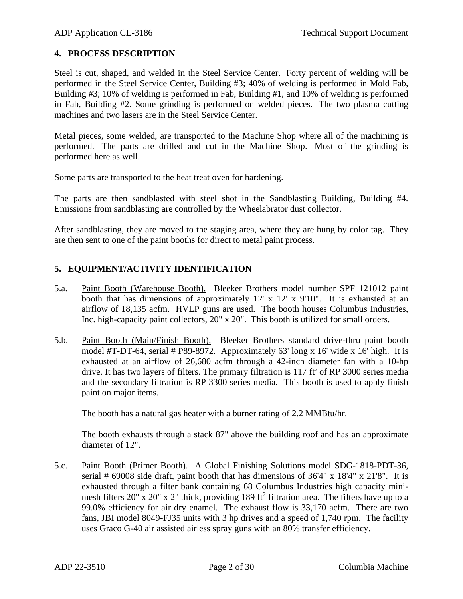## **4. PROCESS DESCRIPTION**

Steel is cut, shaped, and welded in the Steel Service Center. Forty percent of welding will be performed in the Steel Service Center, Building #3; 40% of welding is performed in Mold Fab, Building #3; 10% of welding is performed in Fab, Building #1, and 10% of welding is performed in Fab, Building #2. Some grinding is performed on welded pieces. The two plasma cutting machines and two lasers are in the Steel Service Center.

Metal pieces, some welded, are transported to the Machine Shop where all of the machining is performed. The parts are drilled and cut in the Machine Shop. Most of the grinding is performed here as well.

Some parts are transported to the heat treat oven for hardening.

The parts are then sandblasted with steel shot in the Sandblasting Building, Building #4. Emissions from sandblasting are controlled by the Wheelabrator dust collector.

After sandblasting, they are moved to the staging area, where they are hung by color tag. They are then sent to one of the paint booths for direct to metal paint process.

## **5. EQUIPMENT/ACTIVITY IDENTIFICATION**

- 5.a. Paint Booth (Warehouse Booth). Bleeker Brothers model number SPF 121012 paint booth that has dimensions of approximately 12' x 12' x 9'10". It is exhausted at an airflow of 18,135 acfm. HVLP guns are used. The booth houses Columbus Industries, Inc. high-capacity paint collectors, 20" x 20". This booth is utilized for small orders.
- 5.b. Paint Booth (Main/Finish Booth). Bleeker Brothers standard drive-thru paint booth model #T-DT-64, serial # P89-8972. Approximately 63' long x 16' wide x 16' high. It is exhausted at an airflow of 26,680 acfm through a 42-inch diameter fan with a 10-hp drive. It has two layers of filters. The primary filtration is  $117 \text{ ft}^2$  of RP 3000 series media and the secondary filtration is RP 3300 series media. This booth is used to apply finish paint on major items.

The booth has a natural gas heater with a burner rating of 2.2 MMBtu/hr.

The booth exhausts through a stack 87" above the building roof and has an approximate diameter of 12".

5.c. Paint Booth (Primer Booth). A Global Finishing Solutions model SDG-1818-PDT-36, serial  $\#$  69008 side draft, paint booth that has dimensions of 36'4" x 18'4" x 21'8". It is exhausted through a filter bank containing 68 Columbus Industries high capacity minimesh filters 20" x 20" x 2" thick, providing 189 ft<sup>2</sup> filtration area. The filters have up to a 99.0% efficiency for air dry enamel. The exhaust flow is 33,170 acfm. There are two fans, JBI model 8049-FJ35 units with 3 hp drives and a speed of 1,740 rpm. The facility uses Graco G-40 air assisted airless spray guns with an 80% transfer efficiency.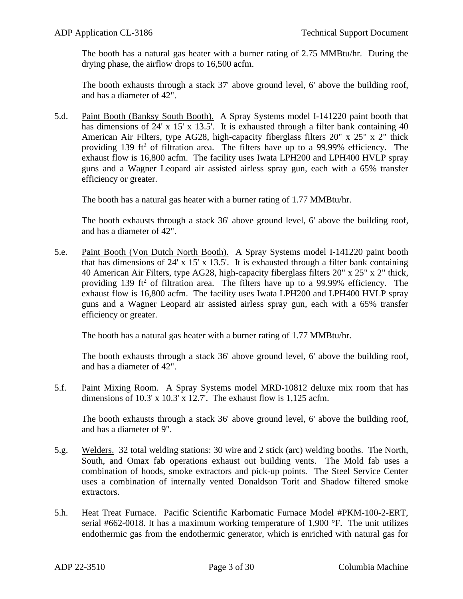The booth has a natural gas heater with a burner rating of 2.75 MMBtu/hr. During the drying phase, the airflow drops to 16,500 acfm.

The booth exhausts through a stack 37' above ground level, 6' above the building roof, and has a diameter of 42".

5.d. Paint Booth (Banksy South Booth). A Spray Systems model I-141220 paint booth that has dimensions of 24' x 15' x 13.5'. It is exhausted through a filter bank containing 40 American Air Filters, type AG28, high-capacity fiberglass filters 20" x 25" x 2" thick providing 139 ft<sup>2</sup> of filtration area. The filters have up to a 99.99% efficiency. The exhaust flow is 16,800 acfm. The facility uses Iwata LPH200 and LPH400 HVLP spray guns and a Wagner Leopard air assisted airless spray gun, each with a 65% transfer efficiency or greater.

The booth has a natural gas heater with a burner rating of 1.77 MMBtu/hr.

The booth exhausts through a stack 36' above ground level, 6' above the building roof, and has a diameter of 42".

5.e. Paint Booth (Von Dutch North Booth). A Spray Systems model I-141220 paint booth that has dimensions of 24' x 15' x 13.5'. It is exhausted through a filter bank containing 40 American Air Filters, type AG28, high-capacity fiberglass filters 20" x 25" x 2" thick, providing 139 ft<sup>2</sup> of filtration area. The filters have up to a 99.99% efficiency. The exhaust flow is 16,800 acfm. The facility uses Iwata LPH200 and LPH400 HVLP spray guns and a Wagner Leopard air assisted airless spray gun, each with a 65% transfer efficiency or greater.

The booth has a natural gas heater with a burner rating of 1.77 MMBtu/hr.

The booth exhausts through a stack 36' above ground level, 6' above the building roof, and has a diameter of 42".

5.f. Paint Mixing Room. A Spray Systems model MRD-10812 deluxe mix room that has dimensions of 10.3' x 10.3' x 12.7'. The exhaust flow is 1,125 acfm.

The booth exhausts through a stack 36' above ground level, 6' above the building roof, and has a diameter of 9".

- 5.g. Welders. 32 total welding stations: 30 wire and 2 stick (arc) welding booths. The North, South, and Omax fab operations exhaust out building vents. The Mold fab uses a combination of hoods, smoke extractors and pick-up points. The Steel Service Center uses a combination of internally vented Donaldson Torit and Shadow filtered smoke extractors.
- 5.h. Heat Treat Furnace. Pacific Scientific Karbomatic Furnace Model #PKM-100-2-ERT, serial  $#662-0018$ . It has a maximum working temperature of 1,900 °F. The unit utilizes endothermic gas from the endothermic generator, which is enriched with natural gas for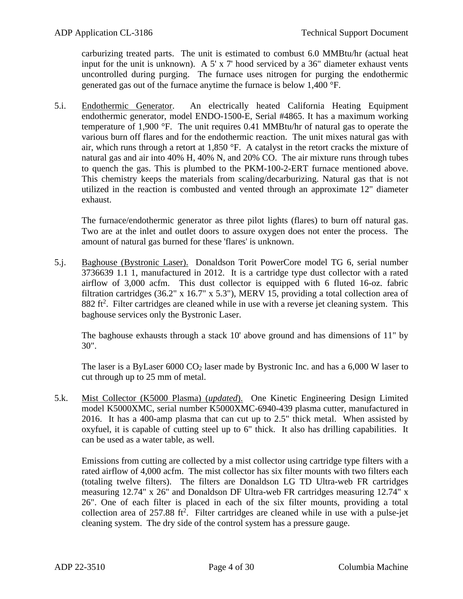carburizing treated parts. The unit is estimated to combust 6.0 MMBtu/hr (actual heat input for the unit is unknown). A 5' x 7' hood serviced by a 36" diameter exhaust vents uncontrolled during purging. The furnace uses nitrogen for purging the endothermic generated gas out of the furnace anytime the furnace is below 1,400 °F.

5.i. Endothermic Generator. An electrically heated California Heating Equipment endothermic generator, model ENDO-1500-E, Serial #4865. It has a maximum working temperature of 1,900 °F. The unit requires 0.41 MMBtu/hr of natural gas to operate the various burn off flares and for the endothermic reaction. The unit mixes natural gas with air, which runs through a retort at 1,850 °F. A catalyst in the retort cracks the mixture of natural gas and air into 40% H, 40% N, and 20% CO. The air mixture runs through tubes to quench the gas. This is plumbed to the PKM-100-2-ERT furnace mentioned above. This chemistry keeps the materials from scaling/decarburizing. Natural gas that is not utilized in the reaction is combusted and vented through an approximate 12" diameter exhaust.

The furnace/endothermic generator as three pilot lights (flares) to burn off natural gas. Two are at the inlet and outlet doors to assure oxygen does not enter the process. The amount of natural gas burned for these 'flares' is unknown.

5.j. Baghouse (Bystronic Laser). Donaldson Torit PowerCore model TG 6, serial number 3736639 1.1 1, manufactured in 2012. It is a cartridge type dust collector with a rated airflow of 3,000 acfm. This dust collector is equipped with 6 fluted 16-oz. fabric filtration cartridges (36.2" x 16.7" x 5.3"), MERV 15, providing a total collection area of  $882$  ft<sup>2</sup>. Filter cartridges are cleaned while in use with a reverse jet cleaning system. This baghouse services only the Bystronic Laser.

The baghouse exhausts through a stack 10' above ground and has dimensions of 11" by 30".

The laser is a ByLaser  $6000 \text{ CO}_2$  laser made by Bystronic Inc. and has a  $6,000 \text{ W}$  laser to cut through up to 25 mm of metal.

5.k. Mist Collector (K5000 Plasma) (*updated*). One Kinetic Engineering Design Limited model K5000XMC, serial number K5000XMC-6940-439 plasma cutter, manufactured in 2016. It has a 400-amp plasma that can cut up to 2.5" thick metal. When assisted by oxyfuel, it is capable of cutting steel up to 6" thick. It also has drilling capabilities. It can be used as a water table, as well.

Emissions from cutting are collected by a mist collector using cartridge type filters with a rated airflow of 4,000 acfm. The mist collector has six filter mounts with two filters each (totaling twelve filters). The filters are Donaldson LG TD Ultra-web FR cartridges measuring 12.74" x 26" and Donaldson DF Ultra-web FR cartridges measuring 12.74" x 26". One of each filter is placed in each of the six filter mounts, providing a total collection area of  $257.88$  ft<sup>2</sup>. Filter cartridges are cleaned while in use with a pulse-jet cleaning system. The dry side of the control system has a pressure gauge.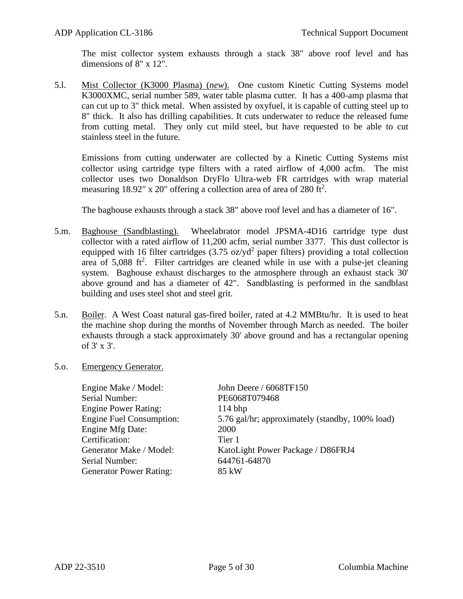The mist collector system exhausts through a stack 38" above roof level and has dimensions of 8" x 12".

5.l. Mist Collector (K3000 Plasma) (*new*). One custom Kinetic Cutting Systems model K3000XMC, serial number 589, water table plasma cutter. It has a 400-amp plasma that can cut up to 3" thick metal. When assisted by oxyfuel, it is capable of cutting steel up to 8" thick. It also has drilling capabilities. It cuts underwater to reduce the released fume from cutting metal. They only cut mild steel, but have requested to be able to cut stainless steel in the future.

Emissions from cutting underwater are collected by a Kinetic Cutting Systems mist collector using cartridge type filters with a rated airflow of 4,000 acfm. The mist collector uses two Donaldson DryFlo Ultra-web FR cartridges with wrap material measuring 18.92" x 20" offering a collection area of area of 280 ft<sup>2</sup>.

The baghouse exhausts through a stack 38" above roof level and has a diameter of 16".

- 5.m. Baghouse (Sandblasting). Wheelabrator model JPSMA-4D16 cartridge type dust collector with a rated airflow of 11,200 acfm, serial number 3377. This dust collector is equipped with 16 filter cartridges  $(3.75 \text{ oz/yd}^2)$  paper filters) providing a total collection area of  $5,088$  ft<sup>2</sup>. Filter cartridges are cleaned while in use with a pulse-jet cleaning system. Baghouse exhaust discharges to the atmosphere through an exhaust stack 30' above ground and has a diameter of 42". Sandblasting is performed in the sandblast building and uses steel shot and steel grit.
- 5.n. Boiler. A West Coast natural gas-fired boiler, rated at 4.2 MMBtu/hr. It is used to heat the machine shop during the months of November through March as needed. The boiler exhausts through a stack approximately 30' above ground and has a rectangular opening of 3' x 3'.
- 5.o. Emergency Generator.

| Engine Make / Model:            | John Deere / 6068TF150                          |
|---------------------------------|-------------------------------------------------|
| Serial Number:                  | PE6068T079468                                   |
| <b>Engine Power Rating:</b>     | $114$ bhp                                       |
| <b>Engine Fuel Consumption:</b> | 5.76 gal/hr; approximately (standby, 100% load) |
| Engine Mfg Date:                | 2000                                            |
| Certification:                  | Tier 1                                          |
| Generator Make / Model:         | KatoLight Power Package / D86FRJ4               |
| Serial Number:                  | 644761-64870                                    |
| <b>Generator Power Rating:</b>  | 85 kW                                           |
|                                 |                                                 |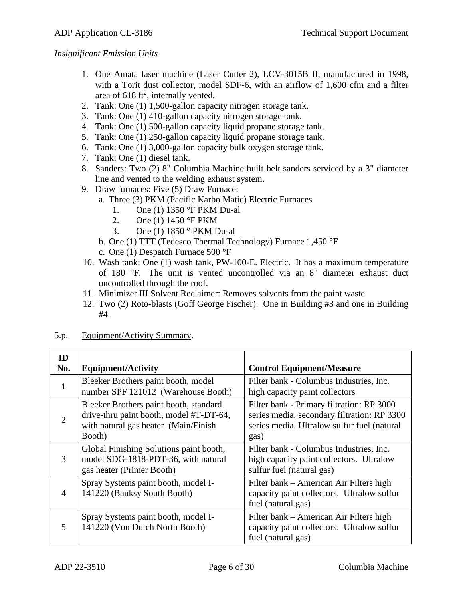#### *Insignificant Emission Units*

- 1. One Amata laser machine (Laser Cutter 2), LCV-3015B II, manufactured in 1998, with a Torit dust collector, model SDF-6, with an airflow of 1,600 cfm and a filter area of 618 ft<sup>2</sup>, internally vented.
- 2. Tank: One (1) 1,500-gallon capacity nitrogen storage tank.
- 3. Tank: One (1) 410-gallon capacity nitrogen storage tank.
- 4. Tank: One (1) 500-gallon capacity liquid propane storage tank.
- 5. Tank: One (1) 250-gallon capacity liquid propane storage tank.
- 6. Tank: One (1) 3,000-gallon capacity bulk oxygen storage tank.
- 7. Tank: One (1) diesel tank.
- 8. Sanders: Two (2) 8" Columbia Machine built belt sanders serviced by a 3" diameter line and vented to the welding exhaust system.
- 9. Draw furnaces: Five (5) Draw Furnace:
	- a. Three (3) PKM (Pacific Karbo Matic) Electric Furnaces
		- 1. One (1) 1350 °F PKM Du-al
		- 2. One (1) 1450 °F PKM
		- 3. One (1) 1850 ° PKM Du-al
	- b. One (1) TTT (Tedesco Thermal Technology) Furnace 1,450 °F
	- c. One (1) Despatch Furnace 500 °F
- 10. Wash tank: One (1) wash tank, PW-100-E. Electric. It has a maximum temperature of 180 °F. The unit is vented uncontrolled via an 8" diameter exhaust duct uncontrolled through the roof.
- 11. Minimizer III Solvent Reclaimer: Removes solvents from the paint waste.
- 12. Two (2) Roto-blasts (Goff George Fischer). One in Building #3 and one in Building #4.

| ID<br>No.      | <b>Equipment/Activity</b>                                                                                                           | <b>Control Equipment/Measure</b>                                                                                                                |
|----------------|-------------------------------------------------------------------------------------------------------------------------------------|-------------------------------------------------------------------------------------------------------------------------------------------------|
| 1              | Bleeker Brothers paint booth, model<br>number SPF 121012 (Warehouse Booth)                                                          | Filter bank - Columbus Industries, Inc.<br>high capacity paint collectors                                                                       |
| $\overline{2}$ | Bleeker Brothers paint booth, standard<br>drive-thru paint booth, model #T-DT-64,<br>with natural gas heater (Main/Finish<br>Booth) | Filter bank - Primary filtration: RP 3000<br>series media, secondary filtration: RP 3300<br>series media. Ultralow sulfur fuel (natural<br>gas) |
| 3              | Global Finishing Solutions paint booth,<br>model SDG-1818-PDT-36, with natural<br>gas heater (Primer Booth)                         | Filter bank - Columbus Industries, Inc.<br>high capacity paint collectors. Ultralow<br>sulfur fuel (natural gas)                                |
| 4              | Spray Systems paint booth, model I-<br>141220 (Banksy South Booth)                                                                  | Filter bank – American Air Filters high<br>capacity paint collectors. Ultralow sulfur<br>fuel (natural gas)                                     |
| 5              | Spray Systems paint booth, model I-<br>141220 (Von Dutch North Booth)                                                               | Filter bank – American Air Filters high<br>capacity paint collectors. Ultralow sulfur<br>fuel (natural gas)                                     |

#### 5.p. Equipment/Activity Summary.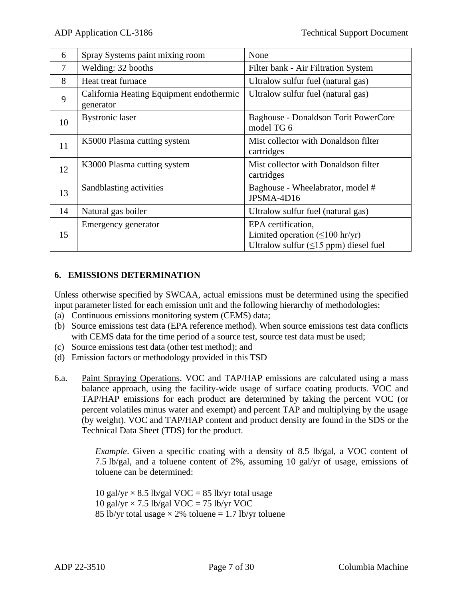| 6  | Spray Systems paint mixing room                       | None                                                                                                    |
|----|-------------------------------------------------------|---------------------------------------------------------------------------------------------------------|
| 7  | Welding: 32 booths                                    | Filter bank - Air Filtration System                                                                     |
| 8  | Heat treat furnace                                    | Ultralow sulfur fuel (natural gas)                                                                      |
| 9  | California Heating Equipment endothermic<br>generator | Ultralow sulfur fuel (natural gas)                                                                      |
| 10 | <b>Bystronic</b> laser                                | Baghouse - Donaldson Torit PowerCore<br>model TG 6                                                      |
| 11 | K5000 Plasma cutting system                           | Mist collector with Donaldson filter<br>cartridges                                                      |
| 12 | K3000 Plasma cutting system                           | Mist collector with Donaldson filter<br>cartridges                                                      |
| 13 | Sandblasting activities                               | Baghouse - Wheelabrator, model #<br>JPSMA-4D16                                                          |
| 14 | Natural gas boiler                                    | Ultralow sulfur fuel (natural gas)                                                                      |
| 15 | Emergency generator                                   | EPA certification,<br>Limited operation $(\leq 100$ hr/yr)<br>Ultralow sulfur $(\leq)$ ppm) diesel fuel |

## **6. EMISSIONS DETERMINATION**

Unless otherwise specified by SWCAA, actual emissions must be determined using the specified input parameter listed for each emission unit and the following hierarchy of methodologies:

- (a) Continuous emissions monitoring system (CEMS) data;
- (b) Source emissions test data (EPA reference method). When source emissions test data conflicts with CEMS data for the time period of a source test, source test data must be used;
- (c) Source emissions test data (other test method); and
- (d) Emission factors or methodology provided in this TSD
- 6.a. Paint Spraying Operations. VOC and TAP/HAP emissions are calculated using a mass balance approach, using the facility-wide usage of surface coating products. VOC and TAP/HAP emissions for each product are determined by taking the percent VOC (or percent volatiles minus water and exempt) and percent TAP and multiplying by the usage (by weight). VOC and TAP/HAP content and product density are found in the SDS or the Technical Data Sheet (TDS) for the product.

*Example*. Given a specific coating with a density of 8.5 lb/gal, a VOC content of 7.5 lb/gal, and a toluene content of 2%, assuming 10 gal/yr of usage, emissions of toluene can be determined:

10 gal/yr  $\times$  8.5 lb/gal VOC = 85 lb/yr total usage 10 gal/yr  $\times$  7.5 lb/gal VOC = 75 lb/yr VOC 85 lb/yr total usage  $\times$  2% toluene = 1.7 lb/yr toluene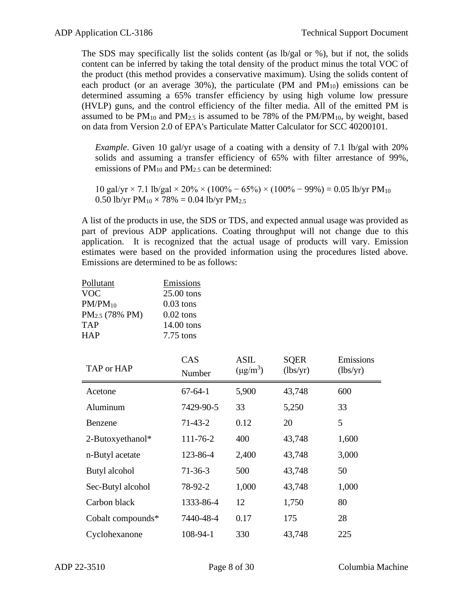The SDS may specifically list the solids content (as lb/gal or %), but if not, the solids content can be inferred by taking the total density of the product minus the total VOC of the product (this method provides a conservative maximum). Using the solids content of each product (or an average 30%), the particulate (PM and  $PM_{10}$ ) emissions can be determined assuming a 65% transfer efficiency by using high volume low pressure (HVLP) guns, and the control efficiency of the filter media. All of the emitted PM is assumed to be  $PM_{10}$  and  $PM_{2.5}$  is assumed to be 78% of the  $PM/PM_{10}$ , by weight, based on data from Version 2.0 of EPA's Particulate Matter Calculator for SCC 40200101.

*Example*. Given 10 gal/yr usage of a coating with a density of 7.1 lb/gal with 20% solids and assuming a transfer efficiency of 65% with filter arrestance of 99%, emissions of  $PM_{10}$  and  $PM_{2.5}$  can be determined:

 $10 \text{ gal/yr} \times 7.1 \text{ lb/gal} \times 20\% \times (100\% - 65\%) \times (100\% - 99\%) = 0.05 \text{ lb/yr} \text{ PM}_{10}$ 0.50 lb/yr  $PM_{10} \times 78\% = 0.04$  lb/yr  $PM_{2.5}$ 

A list of the products in use, the SDS or TDS, and expected annual usage was provided as part of previous ADP applications. Coating throughput will not change due to this application. It is recognized that the actual usage of products will vary. Emission estimates were based on the provided information using the procedures listed above. Emissions are determined to be as follows:

| <b>Pollutant</b><br><b>VOC</b><br>$PM/PM_{10}$<br>PM <sub>2.5</sub> (78% PM)<br><b>TAP</b><br><b>HAP</b> | <b>Emissions</b><br>25.00 tons<br>$0.03$ tons<br>$0.02$ tons<br>14.00 tons<br>7.75 tons |                              |                         |                       |
|----------------------------------------------------------------------------------------------------------|-----------------------------------------------------------------------------------------|------------------------------|-------------------------|-----------------------|
| TAP or HAP                                                                                               | CAS<br>Number                                                                           | <b>ASIL</b><br>$(\mu g/m^3)$ | <b>SQER</b><br>(lbs/yr) | Emissions<br>(lbs/yr) |
| Acetone                                                                                                  | $67 - 64 - 1$                                                                           | 5,900                        | 43,748                  | 600                   |
| Aluminum                                                                                                 | 7429-90-5                                                                               | 33                           | 5,250                   | 33                    |
| Benzene                                                                                                  | $71-43-2$                                                                               | 0.12                         | 20                      | 5                     |
| 2-Butoxyethanol*                                                                                         | 111-76-2                                                                                | 400                          | 43,748                  | 1,600                 |
| n-Butyl acetate                                                                                          | 123-86-4                                                                                | 2,400                        | 43,748                  | 3,000                 |
| Butyl alcohol                                                                                            | $71-36-3$                                                                               | 500                          | 43,748                  | 50                    |
| Sec-Butyl alcohol                                                                                        | 78-92-2                                                                                 | 1,000                        | 43,748                  | 1,000                 |
| Carbon black                                                                                             | 1333-86-4                                                                               | 12                           | 1,750                   | 80                    |
| Cobalt compounds*                                                                                        | 7440-48-4                                                                               | 0.17                         | 175                     | 28                    |
| Cyclohexanone                                                                                            | 108-94-1                                                                                | 330                          | 43,748                  | 225                   |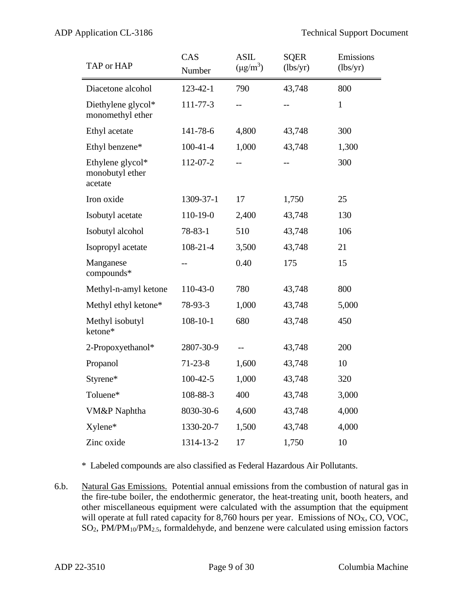| TAP or HAP                                     | CAS<br>Number  | <b>ASIL</b><br>$(\mu g/m^3)$ | <b>SQER</b><br>(lbs/yr) | Emissions<br>(lbs/yr) |
|------------------------------------------------|----------------|------------------------------|-------------------------|-----------------------|
| Diacetone alcohol                              | $123 - 42 - 1$ | 790                          | 43,748                  | 800                   |
| Diethylene glycol*<br>monomethyl ether         | 111-77-3       | $-$                          |                         | $\mathbf{1}$          |
| Ethyl acetate                                  | 141-78-6       | 4,800                        | 43,748                  | 300                   |
| Ethyl benzene*                                 | $100-41-4$     | 1,000                        | 43,748                  | 1,300                 |
| Ethylene glycol*<br>monobutyl ether<br>acetate | 112-07-2       |                              |                         | 300                   |
| Iron oxide                                     | 1309-37-1      | 17                           | 1,750                   | 25                    |
| Isobutyl acetate                               | 110-19-0       | 2,400                        | 43,748                  | 130                   |
| Isobutyl alcohol                               | $78 - 83 - 1$  | 510                          | 43,748                  | 106                   |
| Isopropyl acetate                              | $108 - 21 - 4$ | 3,500                        | 43,748                  | 21                    |
| Manganese<br>compounds*                        | --             | 0.40                         | 175                     | 15                    |
| Methyl-n-amyl ketone                           | 110-43-0       | 780                          | 43,748                  | 800                   |
| Methyl ethyl ketone*                           | 78-93-3        | 1,000                        | 43,748                  | 5,000                 |
| Methyl isobutyl<br>ketone*                     | $108 - 10 - 1$ | 680                          | 43,748                  | 450                   |
| 2-Propoxyethanol*                              | 2807-30-9      | $-$                          | 43,748                  | 200                   |
| Propanol                                       | $71 - 23 - 8$  | 1,600                        | 43,748                  | 10                    |
| Styrene*                                       | $100-42-5$     | 1,000                        | 43,748                  | 320                   |
| Toluene*                                       | 108-88-3       | 400                          | 43,748                  | 3,000                 |
| VM&P Naphtha                                   | 8030-30-6      | 4,600                        | 43,748                  | 4,000                 |
| Xylene*                                        | 1330-20-7      | 1,500                        | 43,748                  | 4,000                 |
| Zinc oxide                                     | 1314-13-2      | 17                           | 1,750                   | 10                    |

\* Labeled compounds are also classified as Federal Hazardous Air Pollutants.

6.b. Natural Gas Emissions. Potential annual emissions from the combustion of natural gas in the fire-tube boiler, the endothermic generator, the heat-treating unit, booth heaters, and other miscellaneous equipment were calculated with the assumption that the equipment will operate at full rated capacity for 8,760 hours per year. Emissions of  $NO<sub>X</sub>$ ,  $CO$ ,  $VOC$ , SO2, PM/PM10/PM2.5, formaldehyde, and benzene were calculated using emission factors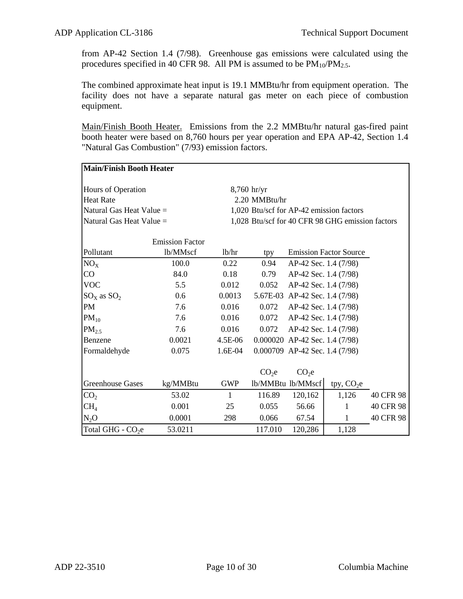from AP-42 Section 1.4 (7/98). Greenhouse gas emissions were calculated using the procedures specified in 40 CFR 98. All PM is assumed to be  $PM_{10}/PM_{2.5}$ .

The combined approximate heat input is 19.1 MMBtu/hr from equipment operation. The facility does not have a separate natural gas meter on each piece of combustion equipment.

Main/Finish Booth Heater. Emissions from the 2.2 MMBtu/hr natural gas-fired paint booth heater were based on 8,760 hours per year operation and EPA AP-42, Section 1.4 "Natural Gas Combustion" (7/93) emission factors.

|                                | <b>Main/Finish Booth Heater</b> |              |                                          |                                  |                                                  |           |  |  |
|--------------------------------|---------------------------------|--------------|------------------------------------------|----------------------------------|--------------------------------------------------|-----------|--|--|
|                                |                                 |              |                                          |                                  |                                                  |           |  |  |
| Hours of Operation             |                                 |              | $8,760$ hr/yr                            |                                  |                                                  |           |  |  |
| Heat Rate                      |                                 |              | 2.20 MMBtu/hr                            |                                  |                                                  |           |  |  |
| Natural Gas Heat Value =       |                                 |              | 1,020 Btu/scf for AP-42 emission factors |                                  |                                                  |           |  |  |
| Natural Gas Heat Value =       |                                 |              |                                          |                                  | 1,028 Btu/scf for 40 CFR 98 GHG emission factors |           |  |  |
|                                |                                 |              |                                          |                                  |                                                  |           |  |  |
|                                | <b>Emission Factor</b>          |              |                                          |                                  |                                                  |           |  |  |
| Pollutant                      | lb/MMscf                        | lb/hr        | tpy                                      |                                  | <b>Emission Factor Source</b>                    |           |  |  |
| $NO_{X}$                       | 100.0                           | 0.22         | 0.94                                     | AP-42 Sec. 1.4 (7/98)            |                                                  |           |  |  |
| CO                             | 84.0                            | 0.18         | 0.79                                     | AP-42 Sec. 1.4 (7/98)            |                                                  |           |  |  |
| <b>VOC</b>                     | 5.5                             | 0.012        | 0.052                                    | AP-42 Sec. 1.4 (7/98)            |                                                  |           |  |  |
| $\text{SO}_X$ as $\text{SO}_2$ | 0.6                             | 0.0013       |                                          | 5.67E-03 AP-42 Sec. 1.4 (7/98)   |                                                  |           |  |  |
| PM                             | 7.6                             | 0.016        | 0.072                                    | AP-42 Sec. 1.4 (7/98)            |                                                  |           |  |  |
| $PM_{10}$                      | 7.6                             | 0.016        | 0.072                                    | AP-42 Sec. 1.4 (7/98)            |                                                  |           |  |  |
| PM <sub>2.5</sub>              | 7.6                             | 0.016        | 0.072                                    | AP-42 Sec. 1.4 (7/98)            |                                                  |           |  |  |
| Benzene                        | 0.0021                          | 4.5E-06      |                                          | $0.000020$ AP-42 Sec. 1.4 (7/98) |                                                  |           |  |  |
| Formaldehyde                   | 0.075                           | 1.6E-04      |                                          | 0.000709 AP-42 Sec. 1.4 (7/98)   |                                                  |           |  |  |
|                                |                                 |              |                                          |                                  |                                                  |           |  |  |
|                                |                                 |              | CO <sub>2</sub> e                        | CO <sub>2</sub> e                |                                                  |           |  |  |
| <b>Greenhouse Gases</b>        | kg/MMBtu                        | <b>GWP</b>   |                                          | lb/MMBtu lb/MMscf                | tpy, $CO2e$                                      |           |  |  |
| CO <sub>2</sub>                | 53.02                           | $\mathbf{1}$ | 116.89                                   | 120,162                          | 1,126                                            | 40 CFR 98 |  |  |
| CH <sub>4</sub>                | 0.001                           | 25           | 0.055                                    | 56.66                            | 1                                                | 40 CFR 98 |  |  |
| $N_2O$                         | 0.0001                          | 298          | 0.066                                    | 67.54                            | 1                                                | 40 CFR 98 |  |  |
| Total GHG - CO <sub>2</sub> e  | 53.0211                         |              | 117.010                                  | 120,286                          | 1,128                                            |           |  |  |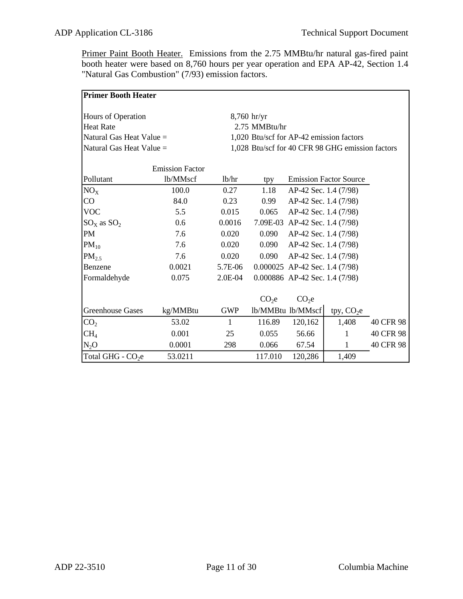Primer Paint Booth Heater. Emissions from the 2.75 MMBtu/hr natural gas-fired paint booth heater were based on 8,760 hours per year operation and EPA AP-42, Section 1.4 "Natural Gas Combustion" (7/93) emission factors.

|                                     | <b>Primer Booth Heater</b> |               |                                          |                                  |                                                  |           |  |  |
|-------------------------------------|----------------------------|---------------|------------------------------------------|----------------------------------|--------------------------------------------------|-----------|--|--|
| Hours of Operation<br>$8,760$ hr/yr |                            |               |                                          |                                  |                                                  |           |  |  |
| <b>Heat Rate</b>                    |                            | 2.75 MMBtu/hr |                                          |                                  |                                                  |           |  |  |
|                                     |                            |               |                                          |                                  |                                                  |           |  |  |
| Natural Gas Heat Value =            |                            |               | 1,020 Btu/scf for AP-42 emission factors |                                  |                                                  |           |  |  |
| Natural Gas Heat Value =            |                            |               |                                          |                                  | 1,028 Btu/scf for 40 CFR 98 GHG emission factors |           |  |  |
|                                     | <b>Emission Factor</b>     |               |                                          |                                  |                                                  |           |  |  |
| Pollutant                           | lb/MMscf                   | 1b/hr         | tpy                                      |                                  | <b>Emission Factor Source</b>                    |           |  |  |
| $NO_{X}$                            | 100.0                      | 0.27          | 1.18                                     | AP-42 Sec. 1.4 (7/98)            |                                                  |           |  |  |
| CO                                  | 84.0                       | 0.23          | 0.99                                     | AP-42 Sec. 1.4 (7/98)            |                                                  |           |  |  |
| <b>VOC</b>                          | 5.5                        | 0.015         | 0.065                                    | AP-42 Sec. 1.4 (7/98)            |                                                  |           |  |  |
| $SO_x$ as $SO_2$                    | 0.6                        | 0.0016        |                                          | 7.09E-03 AP-42 Sec. 1.4 (7/98)   |                                                  |           |  |  |
| PM                                  | 7.6                        | 0.020         | 0.090                                    | AP-42 Sec. 1.4 (7/98)            |                                                  |           |  |  |
| $PM_{10}$                           | 7.6                        | 0.020         | 0.090                                    | AP-42 Sec. 1.4 (7/98)            |                                                  |           |  |  |
| $PM_{2.5}$                          | 7.6                        | 0.020         | 0.090                                    | AP-42 Sec. 1.4 (7/98)            |                                                  |           |  |  |
| Benzene                             | 0.0021                     | 5.7E-06       |                                          | $0.000025$ AP-42 Sec. 1.4 (7/98) |                                                  |           |  |  |
| Formaldehyde                        | 0.075                      | 2.0E-04       |                                          | 0.000886 AP-42 Sec. 1.4 (7/98)   |                                                  |           |  |  |
|                                     |                            |               |                                          |                                  |                                                  |           |  |  |
|                                     |                            |               | CO <sub>2</sub> e                        | CO <sub>2</sub> e                |                                                  |           |  |  |
| <b>Greenhouse Gases</b>             | kg/MMBtu                   | <b>GWP</b>    |                                          | lb/MMBtu lb/MMscf                | tpy, $CO2e$                                      |           |  |  |
| CO <sub>2</sub>                     | 53.02                      | 1             | 116.89                                   | 120,162                          | 1,408                                            | 40 CFR 98 |  |  |
| CH <sub>4</sub>                     | 0.001                      | 25            | 0.055                                    | 56.66                            | 1                                                | 40 CFR 98 |  |  |
| N <sub>2</sub> O                    | 0.0001                     | 298           | 0.066                                    | 67.54                            | 1                                                | 40 CFR 98 |  |  |
| Total GHG - CO <sub>2</sub> e       | 53.0211                    |               | 117.010                                  | 120,286                          | 1,409                                            |           |  |  |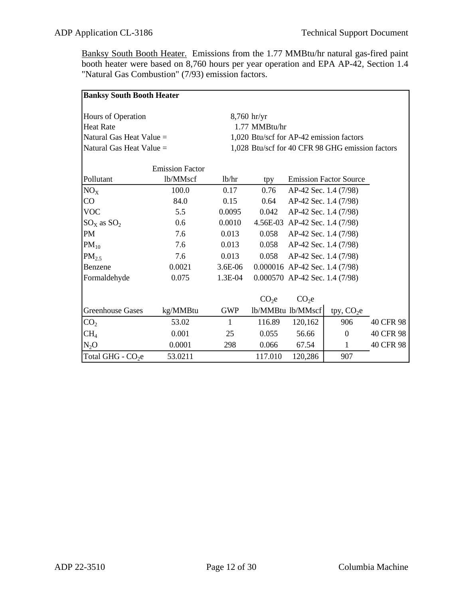Banksy South Booth Heater. Emissions from the 1.77 MMBtu/hr natural gas-fired paint booth heater were based on 8,760 hours per year operation and EPA AP-42, Section 1.4 "Natural Gas Combustion" (7/93) emission factors.

| <b>Banksy South Booth Heater</b> |                        |              |                   |                                  |                                                  |           |
|----------------------------------|------------------------|--------------|-------------------|----------------------------------|--------------------------------------------------|-----------|
|                                  |                        |              |                   |                                  |                                                  |           |
| Hours of Operation               |                        |              | $8,760$ hr/yr     |                                  |                                                  |           |
| <b>Heat Rate</b>                 |                        |              | 1.77 MMBtu/hr     |                                  |                                                  |           |
| Natural Gas Heat Value $=$       |                        |              |                   |                                  | 1,020 Btu/scf for AP-42 emission factors         |           |
| Natural Gas Heat Value =         |                        |              |                   |                                  | 1,028 Btu/scf for 40 CFR 98 GHG emission factors |           |
|                                  |                        |              |                   |                                  |                                                  |           |
|                                  | <b>Emission Factor</b> |              |                   |                                  |                                                  |           |
| Pollutant                        | lb/MMscf               | 1b/hr        | tpy               |                                  | <b>Emission Factor Source</b>                    |           |
| $NO_{X}$                         | 100.0                  | 0.17         | 0.76              | AP-42 Sec. 1.4 (7/98)            |                                                  |           |
| CO                               | 84.0                   | 0.15         | 0.64              | AP-42 Sec. 1.4 (7/98)            |                                                  |           |
| <b>VOC</b>                       | 5.5                    | 0.0095       | 0.042             | AP-42 Sec. 1.4 (7/98)            |                                                  |           |
| $SO_{X}$ as $SO_{2}$             | 0.6                    | 0.0010       |                   | 4.56E-03 AP-42 Sec. 1.4 (7/98)   |                                                  |           |
| PM                               | 7.6                    | 0.013        | 0.058             | AP-42 Sec. 1.4 (7/98)            |                                                  |           |
| $PM_{10}$                        | 7.6                    | 0.013        | 0.058             | AP-42 Sec. 1.4 (7/98)            |                                                  |           |
| $PM_{2.5}$                       | 7.6                    | 0.013        | 0.058             | AP-42 Sec. 1.4 (7/98)            |                                                  |           |
| Benzene                          | 0.0021                 | 3.6E-06      |                   | 0.000016 AP-42 Sec. 1.4 (7/98)   |                                                  |           |
| Formaldehyde                     | 0.075                  | 1.3E-04      |                   | $0.000570$ AP-42 Sec. 1.4 (7/98) |                                                  |           |
|                                  |                        |              |                   |                                  |                                                  |           |
|                                  |                        |              | CO <sub>2</sub> e | CO <sub>2</sub> e                |                                                  |           |
| <b>Greenhouse Gases</b>          | kg/MMBtu               | <b>GWP</b>   |                   | lb/MMBtu lb/MMscf                | tpy, $CO2e$                                      |           |
| CO <sub>2</sub>                  | 53.02                  | $\mathbf{1}$ | 116.89            | 120,162                          | 906                                              | 40 CFR 98 |
| CH <sub>4</sub>                  | 0.001                  | 25           | 0.055             | 56.66                            | $\overline{0}$                                   | 40 CFR 98 |
| $N_2O$                           | 0.0001                 | 298          | 0.066             | 67.54                            | 1                                                | 40 CFR 98 |
| Total GHG - CO <sub>2</sub> e    | 53.0211                |              | 117.010           | 120,286                          | 907                                              |           |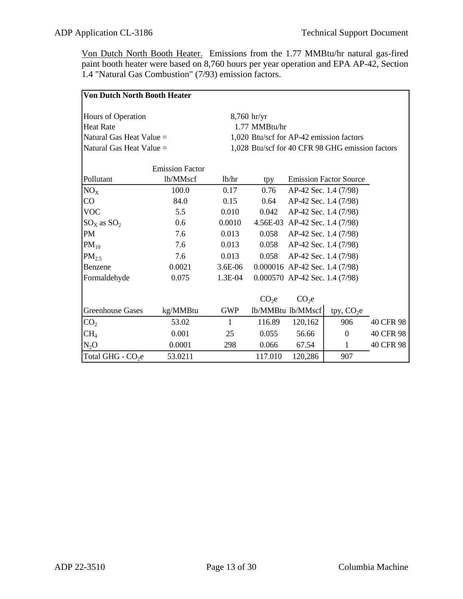Von Dutch North Booth Heater. Emissions from the 1.77 MMBtu/hr natural gas-fired paint booth heater were based on 8,760 hours per year operation and EPA AP-42, Section 1.4 "Natural Gas Combustion" (7/93) emission factors.

| <b>Von Dutch North Booth Heater</b> |                        |              |                   |                                  |                                                  |           |
|-------------------------------------|------------------------|--------------|-------------------|----------------------------------|--------------------------------------------------|-----------|
| Hours of Operation                  |                        |              | $8,760$ hr/yr     |                                  |                                                  |           |
| Heat Rate                           |                        |              | 1.77 MMBtu/hr     |                                  |                                                  |           |
| Natural Gas Heat Value =            |                        |              |                   |                                  | 1,020 Btu/scf for AP-42 emission factors         |           |
| Natural Gas Heat Value =            |                        |              |                   |                                  | 1,028 Btu/scf for 40 CFR 98 GHG emission factors |           |
|                                     |                        |              |                   |                                  |                                                  |           |
|                                     | <b>Emission Factor</b> |              |                   |                                  |                                                  |           |
| Pollutant                           | lb/MMscf               | 1b/hr        | tpy               |                                  | <b>Emission Factor Source</b>                    |           |
| $NO_{X}$                            | 100.0                  | 0.17         | 0.76              | AP-42 Sec. 1.4 (7/98)            |                                                  |           |
| CO                                  | 84.0                   | 0.15         | 0.64              | AP-42 Sec. 1.4 (7/98)            |                                                  |           |
| <b>VOC</b>                          | 5.5                    | 0.010        | 0.042             | AP-42 Sec. 1.4 (7/98)            |                                                  |           |
| $SO_{X}$ as $SO_{2}$                | 0.6                    | 0.0010       |                   | 4.56E-03 AP-42 Sec. 1.4 (7/98)   |                                                  |           |
| PM                                  | 7.6                    | 0.013        | 0.058             | AP-42 Sec. 1.4 (7/98)            |                                                  |           |
| $PM_{10}$                           | 7.6                    | 0.013        | 0.058             | AP-42 Sec. 1.4 (7/98)            |                                                  |           |
| $PM_{2.5}$                          | 7.6                    | 0.013        | 0.058             | AP-42 Sec. 1.4 (7/98)            |                                                  |           |
| Benzene                             | 0.0021                 | 3.6E-06      |                   | $0.000016$ AP-42 Sec. 1.4 (7/98) |                                                  |           |
| Formaldehyde                        | 0.075                  | 1.3E-04      |                   | 0.000570 AP-42 Sec. 1.4 (7/98)   |                                                  |           |
|                                     |                        |              |                   |                                  |                                                  |           |
|                                     |                        |              | CO <sub>2</sub> e | CO <sub>2</sub> e                |                                                  |           |
| <b>Greenhouse Gases</b>             | kg/MMBtu               | <b>GWP</b>   |                   | lb/MMBtu lb/MMscf                | tpy, $CO2e$                                      |           |
| CO <sub>2</sub>                     | 53.02                  | $\mathbf{1}$ | 116.89            | 120,162                          | 906                                              | 40 CFR 98 |
| CH <sub>4</sub>                     | 0.001                  | 25           | 0.055             | 56.66                            | $\overline{0}$                                   | 40 CFR 98 |
| $N_2O$                              | 0.0001                 | 298          | 0.066             | 67.54                            | $\mathbf{1}$                                     | 40 CFR 98 |
| Total GHG - CO <sub>2</sub> e       | 53.0211                |              | 117.010           | 120,286                          | 907                                              |           |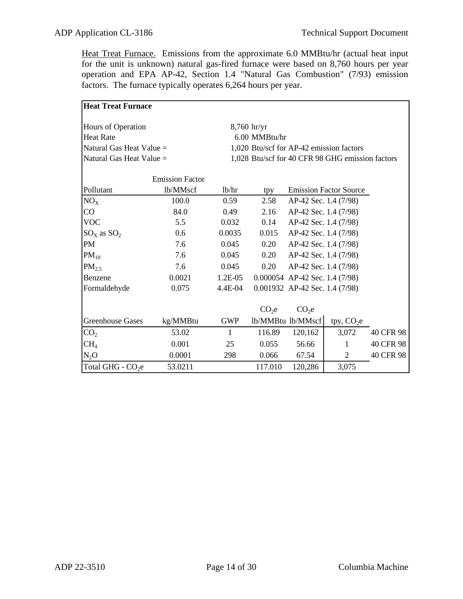Heat Treat Furnace. Emissions from the approximate 6.0 MMBtu/hr (actual heat input for the unit is unknown) natural gas-fired furnace were based on 8,760 hours per year operation and EPA AP-42, Section 1.4 "Natural Gas Combustion" (7/93) emission factors. The furnace typically operates 6,264 hours per year.

| <b>Heat Treat Furnace</b>     |                        |               |                   |                                  |                                                  |           |
|-------------------------------|------------------------|---------------|-------------------|----------------------------------|--------------------------------------------------|-----------|
| Hours of Operation            |                        | $8,760$ hr/yr |                   |                                  |                                                  |           |
| <b>Heat Rate</b>              |                        |               | 6.00 MMBtu/hr     |                                  |                                                  |           |
| Natural Gas Heat Value $=$    |                        |               |                   |                                  | 1,020 Btu/scf for AP-42 emission factors         |           |
| Natural Gas Heat Value =      |                        |               |                   |                                  | 1,028 Btu/scf for 40 CFR 98 GHG emission factors |           |
|                               |                        |               |                   |                                  |                                                  |           |
|                               | <b>Emission Factor</b> |               |                   |                                  |                                                  |           |
| Pollutant                     | lb/MMscf               | lb/hr         | tpy               |                                  | <b>Emission Factor Source</b>                    |           |
| $NO_{X}$                      | 100.0                  | 0.59          | 2.58              | AP-42 Sec. 1.4 (7/98)            |                                                  |           |
| CO                            | 84.0                   | 0.49          | 2.16              | AP-42 Sec. 1.4 (7/98)            |                                                  |           |
| <b>VOC</b>                    | 5.5                    | 0.032         | 0.14              | AP-42 Sec. 1.4 (7/98)            |                                                  |           |
| $SOx$ as $SO2$                | 0.6                    | 0.0035        | 0.015             | AP-42 Sec. 1.4 (7/98)            |                                                  |           |
| PM                            | 7.6                    | 0.045         | 0.20              | AP-42 Sec. 1.4 (7/98)            |                                                  |           |
| $PM_{10}$                     | 7.6                    | 0.045         | 0.20              | AP-42 Sec. 1.4 (7/98)            |                                                  |           |
| PM <sub>2.5</sub>             | 7.6                    | 0.045         | 0.20              | AP-42 Sec. 1.4 (7/98)            |                                                  |           |
| Benzene                       | 0.0021                 | 1.2E-05       |                   | $0.000054$ AP-42 Sec. 1.4 (7/98) |                                                  |           |
| Formaldehyde                  | 0.075                  | 4.4E-04       |                   | $0.001932$ AP-42 Sec. 1.4 (7/98) |                                                  |           |
|                               |                        |               |                   |                                  |                                                  |           |
|                               |                        |               | CO <sub>2</sub> e | CO <sub>2</sub> e                |                                                  |           |
| <b>Greenhouse Gases</b>       | kg/MMBtu               | <b>GWP</b>    |                   | lb/MMBtu lb/MMscf                | tpy, $CO2e$                                      |           |
| CO <sub>2</sub>               | 53.02                  | 1             | 116.89            | 120,162                          | 3,072                                            | 40 CFR 98 |
| CH <sub>4</sub>               | 0.001                  | 25            | 0.055             | 56.66                            | 1                                                | 40 CFR 98 |
| N <sub>2</sub> O              | 0.0001                 | 298           | 0.066             | 67.54                            | $\overline{2}$                                   | 40 CFR 98 |
| Total GHG - CO <sub>2</sub> e | 53.0211                |               | 117.010           | 120,286                          | 3,075                                            |           |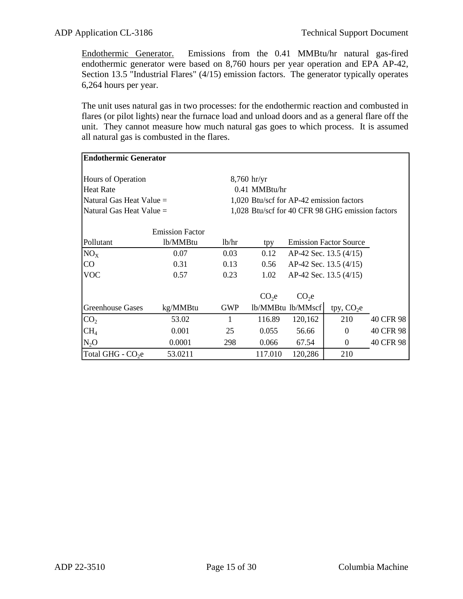Endothermic Generator. Emissions from the 0.41 MMBtu/hr natural gas-fired endothermic generator were based on 8,760 hours per year operation and EPA AP-42, Section 13.5 "Industrial Flares" (4/15) emission factors. The generator typically operates 6,264 hours per year.

The unit uses natural gas in two processes: for the endothermic reaction and combusted in flares (or pilot lights) near the furnace load and unload doors and as a general flare off the unit. They cannot measure how much natural gas goes to which process. It is assumed all natural gas is combusted in the flares.

| <b>Endothermic Generator</b>  |                                    |                    |                   |                   |                                                  |           |
|-------------------------------|------------------------------------|--------------------|-------------------|-------------------|--------------------------------------------------|-----------|
| Hours of Operation            |                                    |                    | $8,760$ hr/yr     |                   |                                                  |           |
| <b>Heat Rate</b>              |                                    |                    | $0.41$ MMBtu/hr   |                   |                                                  |           |
| Natural Gas Heat Value $=$    |                                    |                    |                   |                   | 1,020 Btu/scf for AP-42 emission factors         |           |
| Natural Gas Heat Value $=$    |                                    |                    |                   |                   | 1,028 Btu/scf for 40 CFR 98 GHG emission factors |           |
| Pollutant                     | <b>Emission Factor</b><br>lb/MMBtu | 1 <sub>b</sub> /hr | tpy               |                   | <b>Emission Factor Source</b>                    |           |
| $NO_{X}$                      | 0.07                               | 0.03               | 0.12              |                   | AP-42 Sec. 13.5 (4/15)                           |           |
| CO                            | 0.31                               | 0.13               | 0.56              |                   | AP-42 Sec. 13.5 (4/15)                           |           |
| <b>VOC</b>                    | 0.57                               | 0.23               | 1.02              |                   | AP-42 Sec. 13.5 (4/15)                           |           |
|                               |                                    |                    | CO <sub>2</sub> e | CO <sub>2</sub> e |                                                  |           |
| <b>Greenhouse Gases</b>       | kg/MMBtu                           | <b>GWP</b>         |                   | lb/MMBtu lb/MMscf | tpy, $CO2e$                                      |           |
| CO <sub>2</sub>               | 53.02                              |                    | 116.89            | 120,162           | 210                                              | 40 CFR 98 |
| CH <sub>4</sub>               | 0.001                              | 25                 | 0.055             | 56.66             | $\Omega$                                         | 40 CFR 98 |
| $N_2O$                        | 0.0001                             | 298                | 0.066             | 67.54             | $\theta$                                         | 40 CFR 98 |
| Total GHG - CO <sub>2</sub> e | 53.0211                            |                    | 117.010           | 120,286           | 210                                              |           |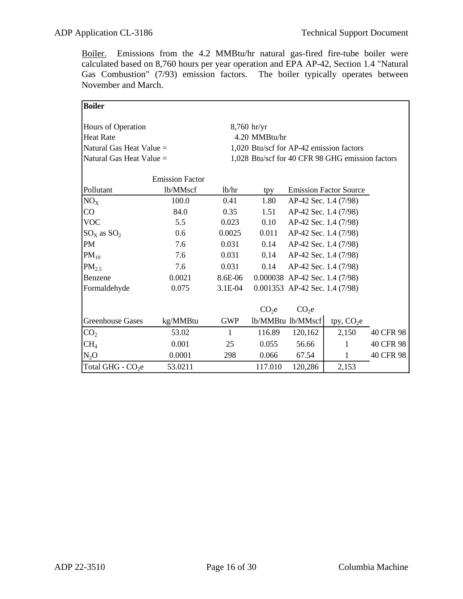Boiler. Emissions from the 4.2 MMBtu/hr natural gas-fired fire-tube boiler were calculated based on 8,760 hours per year operation and EPA AP-42, Section 1.4 "Natural Gas Combustion" (7/93) emission factors. The boiler typically operates between November and March.

| Boiler                         |                        |              |                   |                                  |                                                  |           |
|--------------------------------|------------------------|--------------|-------------------|----------------------------------|--------------------------------------------------|-----------|
|                                |                        |              | $8,760$ hr/yr     |                                  |                                                  |           |
| Hours of Operation             |                        |              |                   |                                  |                                                  |           |
| Heat Rate                      |                        |              | 4.20 MMBtu/hr     |                                  |                                                  |           |
| Natural Gas Heat Value =       |                        |              |                   |                                  | 1,020 Btu/scf for AP-42 emission factors         |           |
| Natural Gas Heat Value =       |                        |              |                   |                                  | 1,028 Btu/scf for 40 CFR 98 GHG emission factors |           |
|                                |                        |              |                   |                                  |                                                  |           |
|                                | <b>Emission Factor</b> |              |                   |                                  |                                                  |           |
| Pollutant                      | lb/MMscf               | lb/hr        | tpy               |                                  | <b>Emission Factor Source</b>                    |           |
| $NO_{X}$                       | 100.0                  | 0.41         | 1.80              | AP-42 Sec. 1.4 (7/98)            |                                                  |           |
| CO                             | 84.0                   | 0.35         | 1.51              | AP-42 Sec. 1.4 (7/98)            |                                                  |           |
| <b>VOC</b>                     | 5.5                    | 0.023        | 0.10              | AP-42 Sec. 1.4 (7/98)            |                                                  |           |
| $\text{SO}_X$ as $\text{SO}_2$ | 0.6                    | 0.0025       | 0.011             | AP-42 Sec. 1.4 (7/98)            |                                                  |           |
| PM                             | 7.6                    | 0.031        | 0.14              | AP-42 Sec. 1.4 (7/98)            |                                                  |           |
| $PM_{10}$                      | 7.6                    | 0.031        | 0.14              | AP-42 Sec. 1.4 (7/98)            |                                                  |           |
| $PM_{2.5}$                     | 7.6                    | 0.031        | 0.14              | AP-42 Sec. 1.4 (7/98)            |                                                  |           |
| Benzene                        | 0.0021                 | 8.6E-06      |                   | $0.000038$ AP-42 Sec. 1.4 (7/98) |                                                  |           |
| Formaldehyde                   | 0.075                  | 3.1E-04      |                   | 0.001353 AP-42 Sec. 1.4 (7/98)   |                                                  |           |
|                                |                        |              |                   |                                  |                                                  |           |
|                                |                        |              | CO <sub>2</sub> e | CO <sub>2</sub> e                |                                                  |           |
| <b>Greenhouse Gases</b>        | kg/MMBtu               | <b>GWP</b>   |                   | lb/MMBtu lb/MMscf                | tpy, $CO2e$                                      |           |
| CO <sub>2</sub>                | 53.02                  | $\mathbf{1}$ | 116.89            | 120,162                          | 2,150                                            | 40 CFR 98 |
| CH <sub>4</sub>                | 0.001                  | 25           | 0.055             | 56.66                            | 1                                                | 40 CFR 98 |
| $N_2O$                         | 0.0001                 | 298          | 0.066             | 67.54                            | 1                                                | 40 CFR 98 |
| Total GHG - CO <sub>2</sub> e  | 53.0211                |              | 117.010           | 120,286                          | 2,153                                            |           |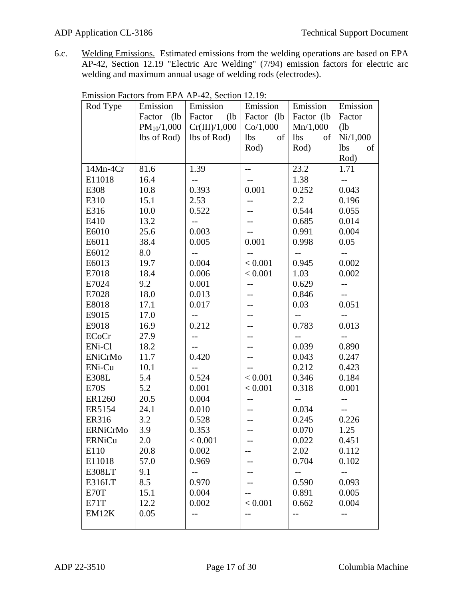6.c. Welding Emissions. Estimated emissions from the welding operations are based on EPA AP-42, Section 12.19 "Electric Arc Welding" (7/94) emission factors for electric arc welding and maximum annual usage of welding rods (electrodes).

| Rod Type            | Emission        | Emission       | Emission         | Emission         | Emission         |
|---------------------|-----------------|----------------|------------------|------------------|------------------|
|                     | (lb)<br>Factor  | (lb)<br>Factor | Factor (lb)      | Factor (lb)      | Factor           |
|                     | $PM_{10}/1,000$ | Cr(III)/1,000  | Co/1,000         | Mn/1,000         | (lb)             |
|                     | lbs of Rod)     | lbs of Rod)    | <b>lbs</b><br>of | <b>lbs</b><br>of | Ni/1,000         |
|                     |                 |                | Rod)             | Rod)             | <b>lbs</b><br>of |
|                     |                 |                |                  |                  | Rod)             |
| 14Mn-4Cr            | 81.6            | 1.39           | $-$              | 23.2             | 1.71             |
| E11018              | 16.4            | --             | $-$              | 1.38             | --               |
| E308                | 10.8            | 0.393          | 0.001            | 0.252            | 0.043            |
| E310                | 15.1            | 2.53           | $-$              | 2.2              | 0.196            |
| E316                | 10.0            | 0.522          |                  | 0.544            | 0.055            |
| E410                | 13.2            | $-$            |                  | 0.685            | 0.014            |
| E6010               | 25.6            | 0.003          |                  | 0.991            | 0.004            |
| E6011               | 38.4            | 0.005          | 0.001            | 0.998            | 0.05             |
| E6012               | 8.0             | $-$            | $-$              | $--$             | $-$              |
| E6013               | 19.7            | 0.004          | < 0.001          | 0.945            | 0.002            |
| E7018               | 18.4            | 0.006          | < 0.001          | 1.03             | 0.002            |
| E7024               | 9.2             | 0.001          |                  | 0.629            | $-$              |
| E7028               | 18.0            | 0.013          |                  | 0.846            |                  |
| E8018               | 17.1            | 0.017          |                  | 0.03             | 0.051            |
| E9015               | 17.0            | $-$            |                  |                  |                  |
| E9018               | 16.9            | 0.212          |                  | 0.783            | 0.013            |
| ECoCr               | 27.9            | --             |                  |                  |                  |
| ENi-Cl              | 18.2            | $-$            |                  | 0.039            | 0.890            |
| <b>ENiCrMo</b>      | 11.7            | 0.420          |                  | 0.043            | 0.247            |
| EN <sub>i</sub> -Cu | 10.1            | $-$            |                  | 0.212            | 0.423            |
| E308L               | 5.4             | 0.524          | < 0.001          | 0.346            | 0.184            |
| E70S                | 5.2             | 0.001          | < 0.001          | 0.318            | 0.001            |
| ER1260              | 20.5            | 0.004          |                  |                  |                  |
| ER5154              | 24.1            | 0.010          |                  | 0.034            | $-$              |
| <b>ER316</b>        | 3.2             | 0.528          |                  | 0.245            | 0.226            |
| <b>ERNiCrMo</b>     | 3.9             | 0.353          |                  | 0.070            | 1.25             |
| <b>ERNiCu</b>       | 2.0             | < 0.001        |                  | 0.022            | 0.451            |
| E110                | 20.8            | 0.002          |                  | 2.02             | 0.112            |
| E11018              | 57.0            | 0.969          |                  | 0.704            | 0.102            |
| E308LT              | 9.1             |                |                  |                  | $-$              |
| E316LT              | 8.5             | 0.970          |                  | 0.590            | 0.093            |
| E70T                | 15.1            | 0.004          |                  | 0.891            | 0.005            |
| E71T                | 12.2            | 0.002          | < 0.001          | 0.662            | 0.004            |
| EM12K               | 0.05            | $-$            | --               | $-$              | --               |
|                     |                 |                |                  |                  |                  |

| Emission Factors from EPA AP-42, Section 12.19: |  |  |  |
|-------------------------------------------------|--|--|--|
|                                                 |  |  |  |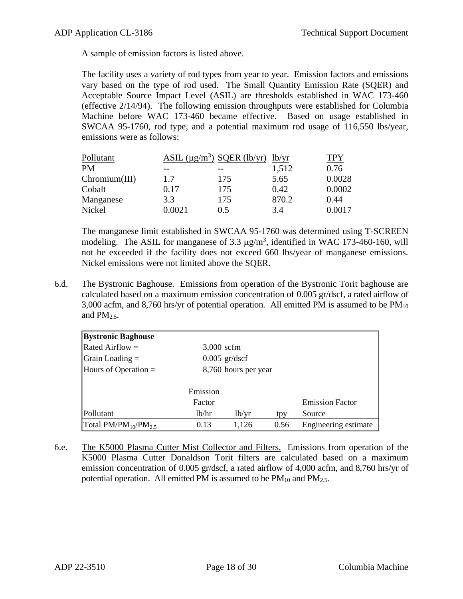A sample of emission factors is listed above.

The facility uses a variety of rod types from year to year. Emission factors and emissions vary based on the type of rod used. The Small Quantity Emission Rate (SQER) and Acceptable Source Impact Level (ASIL) are thresholds established in WAC 173-460 (effective 2/14/94). The following emission throughputs were established for Columbia Machine before WAC 173-460 became effective. Based on usage established in SWCAA 95-1760, rod type, and a potential maximum rod usage of 116,550 lbs/year, emissions were as follows:

| Pollutant     |        | ASIL $(\mu g/m^3)$ SQER (lb/yr) lb/yr |       | TPY    |
|---------------|--------|---------------------------------------|-------|--------|
| PM            |        |                                       | 1,512 | 0.76   |
| Chromium(III) | 1.7    | 175                                   | 5.65  | 0.0028 |
| Cobalt        | 0.17   | 175                                   | 0.42  | 0.0002 |
| Manganese     | 3.3    | 175                                   | 870.2 | 0.44   |
| Nickel        | 0.0021 | 0.5                                   | 3.4   | Ი ᲘᲘ17 |

The manganese limit established in SWCAA 95-1760 was determined using T-SCREEN modeling. The ASIL for manganese of 3.3  $\mu$ g/m<sup>3</sup>, identified in WAC 173-460-160, will not be exceeded if the facility does not exceed 660 lbs/year of manganese emissions. Nickel emissions were not limited above the SQER.

6.d. The Bystronic Baghouse. Emissions from operation of the Bystronic Torit baghouse are calculated based on a maximum emission concentration of 0.005 gr/dscf, a rated airflow of 3,000 acfm, and 8,760 hrs/yr of potential operation. All emitted PM is assumed to be  $PM_{10}$ and  $PM<sub>2.5</sub>$ .

| <b>Bystronic Baghouse</b>   |                    |                      |      |                        |
|-----------------------------|--------------------|----------------------|------|------------------------|
| Rated Airflow $=$           | $3,000$ scfm       |                      |      |                        |
| $\Gamma$ Grain Loading =    |                    | $0.005$ gr/dscf      |      |                        |
| Hours of Operation $=$      |                    | 8,760 hours per year |      |                        |
|                             |                    |                      |      |                        |
|                             | Emission           |                      |      |                        |
|                             | Factor             |                      |      | <b>Emission Factor</b> |
| Pollutant                   | 1 <sub>b</sub> /hr | 1 <sub>b</sub> /yr   | tpy  | Source                 |
| Total $PM/PM_{10}/PM_{2.5}$ | 0.13               | 1,126                | 0.56 | Engineering estimate   |

6.e. The K5000 Plasma Cutter Mist Collector and Filters. Emissions from operation of the K5000 Plasma Cutter Donaldson Torit filters are calculated based on a maximum emission concentration of 0.005 gr/dscf, a rated airflow of 4,000 acfm, and 8,760 hrs/yr of potential operation. All emitted PM is assumed to be  $PM_{10}$  and  $PM_{2.5}$ .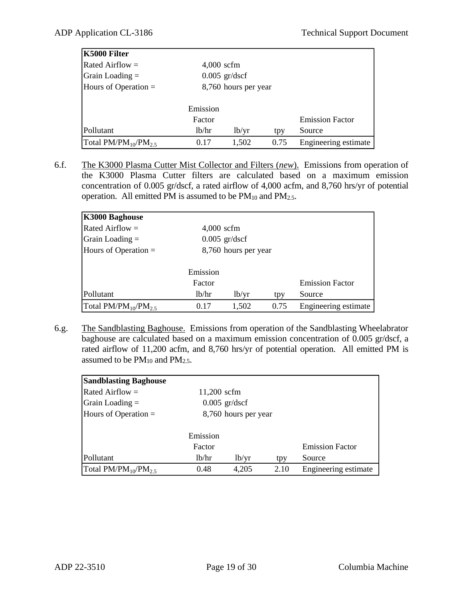| K5000 Filter                |              |                      |      |                        |
|-----------------------------|--------------|----------------------|------|------------------------|
| Rated Airflow $=$           | $4,000$ scfm |                      |      |                        |
| $\alpha$ Grain Loading =    |              | $0.005$ gr/dscf      |      |                        |
| Hours of Operation $=$      |              | 8,760 hours per year |      |                        |
|                             |              |                      |      |                        |
|                             | Emission     |                      |      |                        |
|                             | Factor       |                      |      | <b>Emission Factor</b> |
| Pollutant                   | lb/hr        | 1 <sub>b</sub> /yr   | tpy  | Source                 |
| Total $PM/PM_{10}/PM_{2.5}$ | 0.17         | 1,502                | 0.75 | Engineering estimate   |

6.f. The K3000 Plasma Cutter Mist Collector and Filters (*new*). Emissions from operation of the K3000 Plasma Cutter filters are calculated based on a maximum emission concentration of 0.005 gr/dscf, a rated airflow of 4,000 acfm, and 8,760 hrs/yr of potential operation. All emitted PM is assumed to be  $PM_{10}$  and  $PM_{2.5}$ .

| K3000 Baghouse              |              |                      |      |                        |
|-----------------------------|--------------|----------------------|------|------------------------|
| Rated Airflow $=$           | $4,000$ scfm |                      |      |                        |
| Grain Loading $=$           |              | $0.005$ gr/dscf      |      |                        |
| Hours of Operation $=$      |              | 8,760 hours per year |      |                        |
|                             | Emission     |                      |      |                        |
|                             | Factor       |                      |      | <b>Emission Factor</b> |
| Pollutant                   | 1b/hr        | 1 <sub>b</sub> /yr   | tpy  | Source                 |
| Total $PM/PM_{10}/PM_{2.5}$ | 0.17         | 1,502                | 0.75 | Engineering estimate   |

6.g. The Sandblasting Baghouse. Emissions from operation of the Sandblasting Wheelabrator baghouse are calculated based on a maximum emission concentration of 0.005 gr/dscf, a rated airflow of 11,200 acfm, and 8,760 hrs/yr of potential operation. All emitted PM is assumed to be  $PM_{10}$  and  $PM_{2.5}$ .

| <b>Sandblasting Baghouse</b> |             |                      |      |                        |
|------------------------------|-------------|----------------------|------|------------------------|
| Rated Airflow $=$            | 11,200 scfm |                      |      |                        |
| $Grain$ Loading $=$          |             | $0.005$ gr/dscf      |      |                        |
| Hours of Operation $=$       |             | 8,760 hours per year |      |                        |
|                              |             |                      |      |                        |
|                              | Emission    |                      |      |                        |
|                              | Factor      |                      |      | <b>Emission Factor</b> |
| Pollutant                    | lb/hr       | 1 <sub>b</sub> /yr   | tpy  | Source                 |
| Total $PM/PM_{10}/PM_{25}$   | 0.48        | 4,205                | 2.10 | Engineering estimate   |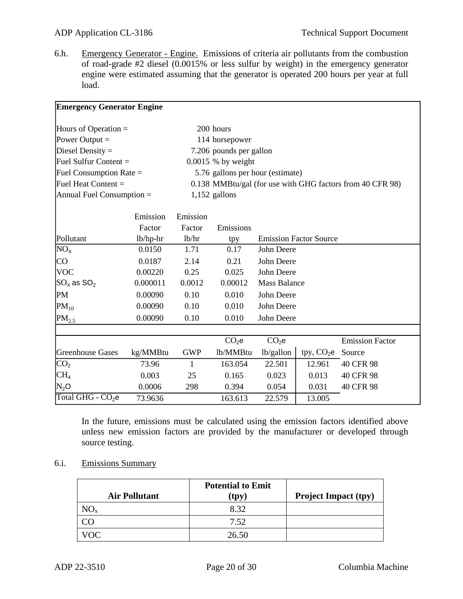6.h. Emergency Generator - Engine. Emissions of criteria air pollutants from the combustion of road-grade #2 diesel (0.0015% or less sulfur by weight) in the emergency generator engine were estimated assuming that the generator is operated 200 hours per year at full load.

| <b>Emergency Generator Engine</b>                                                                   |          |                                                                                               |                         |                     |                               |                           |
|-----------------------------------------------------------------------------------------------------|----------|-----------------------------------------------------------------------------------------------|-------------------------|---------------------|-------------------------------|---------------------------|
| Hours of Operation $=$                                                                              |          | 200 hours                                                                                     |                         |                     |                               |                           |
| Power Output $=$                                                                                    |          | 114 horsepower                                                                                |                         |                     |                               |                           |
| Diesel Density $=$<br>Fuel Sulfur Content $=$<br>Fuel Consumption Rate $=$<br>Fuel Heat Content $=$ |          |                                                                                               | 7.206 pounds per gallon |                     |                               |                           |
|                                                                                                     |          | $0.0015$ % by weight                                                                          |                         |                     |                               |                           |
|                                                                                                     |          | 5.76 gallons per hour (estimate)<br>0.138 MMBtu/gal (for use with GHG factors from 40 CFR 98) |                         |                     |                               |                           |
|                                                                                                     |          |                                                                                               |                         |                     |                               | Annual Fuel Consumption = |
|                                                                                                     |          |                                                                                               |                         |                     |                               |                           |
|                                                                                                     | Emission | Emission                                                                                      |                         |                     |                               |                           |
|                                                                                                     | Factor   | Factor                                                                                        | Emissions               |                     |                               |                           |
| Pollutant                                                                                           | lb/hp-hr | 1b/hr                                                                                         | tpy                     |                     | <b>Emission Factor Source</b> |                           |
| $NO_{X}$                                                                                            | 0.0150   | 1.71                                                                                          | 0.17                    | John Deere          |                               |                           |
| <b>CO</b>                                                                                           | 0.0187   | 2.14                                                                                          | 0.21                    | John Deere          |                               |                           |
| <b>VOC</b>                                                                                          | 0.00220  | 0.25                                                                                          | 0.025                   | John Deere          |                               |                           |
| $ {\rm SO}_\chi \, {\rm as}~ {\rm SO}_2 $                                                           | 0.000011 | 0.0012                                                                                        | 0.00012                 | <b>Mass Balance</b> |                               |                           |
| PM                                                                                                  | 0.00090  | 0.10                                                                                          | 0.010                   | John Deere          |                               |                           |
| $PM_{10}$                                                                                           | 0.00090  | 0.10                                                                                          | 0.010                   | John Deere          |                               |                           |
| PM <sub>2.5</sub>                                                                                   | 0.00090  | 0.10                                                                                          | 0.010                   | John Deere          |                               |                           |
|                                                                                                     |          |                                                                                               |                         |                     |                               |                           |
|                                                                                                     |          |                                                                                               | CO <sub>2</sub> e       | CO <sub>2</sub> e   |                               | <b>Emission Factor</b>    |
| Greenhouse Gases                                                                                    | kg/MMBtu | <b>GWP</b>                                                                                    | lb/MMBtu                | lb/gallon           | tpy, $CO2e$                   | Source                    |
| CO <sub>2</sub>                                                                                     | 73.96    | 1                                                                                             | 163.054                 | 22.501              | 12.961                        | 40 CFR 98                 |
| CH <sub>4</sub>                                                                                     | 0.003    | 25                                                                                            | 0.165                   | 0.023               | 0.013                         | 40 CFR 98                 |
| $N_2O$                                                                                              | 0.0006   | 298                                                                                           | 0.394                   | 0.054               | 0.031                         | 40 CFR 98                 |
| Total GHG - CO <sub>2</sub> e                                                                       | 73.9636  |                                                                                               | 163.613                 | 22.579              | 13.005                        |                           |

In the future, emissions must be calculated using the emission factors identified above unless new emission factors are provided by the manufacturer or developed through source testing.

6.i. Emissions Summary

| <b>Air Pollutant</b> | <b>Potential to Emit</b><br>(tpy) | <b>Project Impact (tpy)</b> |
|----------------------|-----------------------------------|-----------------------------|
| NO <sub>x</sub>      | 8.32                              |                             |
| CO                   | 7.52                              |                             |
| VOC.                 | 26.50                             |                             |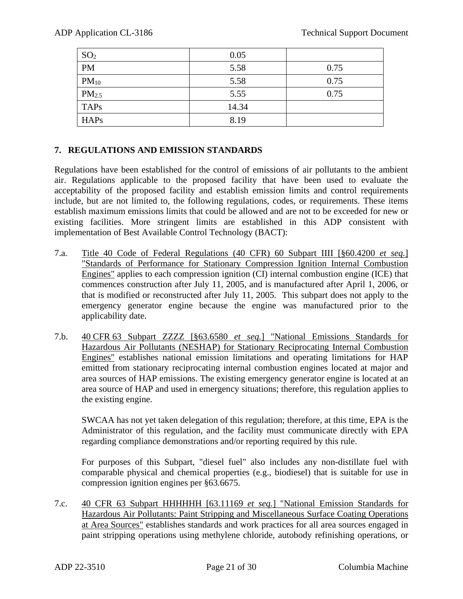| SO <sub>2</sub>   | 0.05  |      |
|-------------------|-------|------|
| <b>PM</b>         | 5.58  | 0.75 |
| $PM_{10}$         | 5.58  | 0.75 |
| PM <sub>2.5</sub> | 5.55  | 0.75 |
| <b>TAPs</b>       | 14.34 |      |
| <b>HAPs</b>       | 8.19  |      |

## **7. REGULATIONS AND EMISSION STANDARDS**

Regulations have been established for the control of emissions of air pollutants to the ambient air. Regulations applicable to the proposed facility that have been used to evaluate the acceptability of the proposed facility and establish emission limits and control requirements include, but are not limited to, the following regulations, codes, or requirements. These items establish maximum emissions limits that could be allowed and are not to be exceeded for new or existing facilities. More stringent limits are established in this ADP consistent with implementation of Best Available Control Technology (BACT):

- 7.a. Title 40 Code of Federal Regulations (40 CFR) 60 Subpart IIII [§60.4200 *et seq.*] "Standards of Performance for Stationary Compression Ignition Internal Combustion Engines" applies to each compression ignition (CI) internal combustion engine (ICE) that commences construction after July 11, 2005, and is manufactured after April 1, 2006, or that is modified or reconstructed after July 11, 2005. This subpart does not apply to the emergency generator engine because the engine was manufactured prior to the applicability date.
- 7.b. 40 CFR 63 Subpart ZZZZ [§63.6580 *et seq.*] "National Emissions Standards for Hazardous Air Pollutants (NESHAP) for Stationary Reciprocating Internal Combustion Engines" establishes national emission limitations and operating limitations for HAP emitted from stationary reciprocating internal combustion engines located at major and area sources of HAP emissions. The existing emergency generator engine is located at an area source of HAP and used in emergency situations; therefore, this regulation applies to the existing engine.

SWCAA has not yet taken delegation of this regulation; therefore, at this time, EPA is the Administrator of this regulation, and the facility must communicate directly with EPA regarding compliance demonstrations and/or reporting required by this rule.

For purposes of this Subpart, "diesel fuel" also includes any non-distillate fuel with comparable physical and chemical properties (e.g., biodiesel) that is suitable for use in compression ignition engines per §63.6675.

7.c. 40 CFR 63 Subpart HHHHHH [63.11169 *et seq.*] "National Emission Standards for Hazardous Air Pollutants: Paint Stripping and Miscellaneous Surface Coating Operations at Area Sources" establishes standards and work practices for all area sources engaged in paint stripping operations using methylene chloride, autobody refinishing operations, or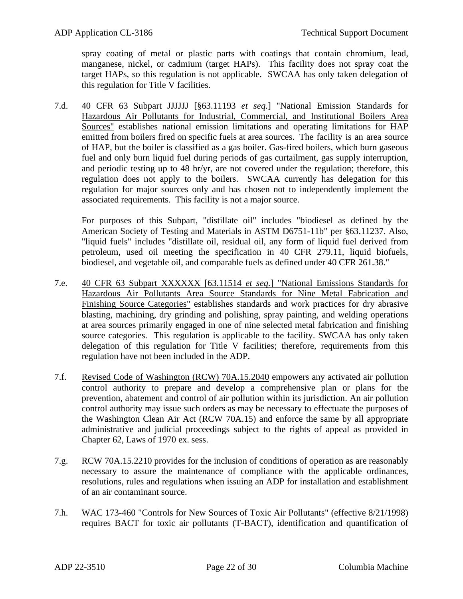spray coating of metal or plastic parts with coatings that contain chromium, lead, manganese, nickel, or cadmium (target HAPs). This facility does not spray coat the target HAPs, so this regulation is not applicable. SWCAA has only taken delegation of this regulation for Title V facilities.

7.d. 40 CFR 63 Subpart JJJJJJ [§63.11193 *et seq.*] "National Emission Standards for Hazardous Air Pollutants for Industrial, Commercial, and Institutional Boilers Area Sources" establishes national emission limitations and operating limitations for HAP emitted from boilers fired on specific fuels at area sources. The facility is an area source of HAP, but the boiler is classified as a gas boiler. Gas-fired boilers, which burn gaseous fuel and only burn liquid fuel during periods of gas curtailment, gas supply interruption, and periodic testing up to 48 hr/yr, are not covered under the regulation; therefore, this regulation does not apply to the boilers. SWCAA currently has delegation for this regulation for major sources only and has chosen not to independently implement the associated requirements. This facility is not a major source.

For purposes of this Subpart, "distillate oil" includes "biodiesel as defined by the American Society of Testing and Materials in ASTM D6751-11b" per §63.11237. Also, "liquid fuels" includes "distillate oil, residual oil, any form of liquid fuel derived from petroleum, used oil meeting the specification in 40 CFR 279.11, liquid biofuels, biodiesel, and vegetable oil, and comparable fuels as defined under 40 CFR 261.38."

- 7.e. 40 CFR 63 Subpart XXXXXX [63.11514 *et seq.*] "National Emissions Standards for Hazardous Air Pollutants Area Source Standards for Nine Metal Fabrication and Finishing Source Categories" establishes standards and work practices for dry abrasive blasting, machining, dry grinding and polishing, spray painting, and welding operations at area sources primarily engaged in one of nine selected metal fabrication and finishing source categories. This regulation is applicable to the facility. SWCAA has only taken delegation of this regulation for Title V facilities; therefore, requirements from this regulation have not been included in the ADP.
- 7.f. Revised Code of Washington (RCW) 70A.15.2040 empowers any activated air pollution control authority to prepare and develop a comprehensive plan or plans for the prevention, abatement and control of air pollution within its jurisdiction. An air pollution control authority may issue such orders as may be necessary to effectuate the purposes of the Washington Clean Air Act (RCW 70A.15) and enforce the same by all appropriate administrative and judicial proceedings subject to the rights of appeal as provided in Chapter 62, Laws of 1970 ex. sess.
- 7.g. RCW 70A.15.2210 provides for the inclusion of conditions of operation as are reasonably necessary to assure the maintenance of compliance with the applicable ordinances, resolutions, rules and regulations when issuing an ADP for installation and establishment of an air contaminant source.
- 7.h. WAC 173-460 "Controls for New Sources of Toxic Air Pollutants" (effective 8/21/1998) requires BACT for toxic air pollutants (T-BACT), identification and quantification of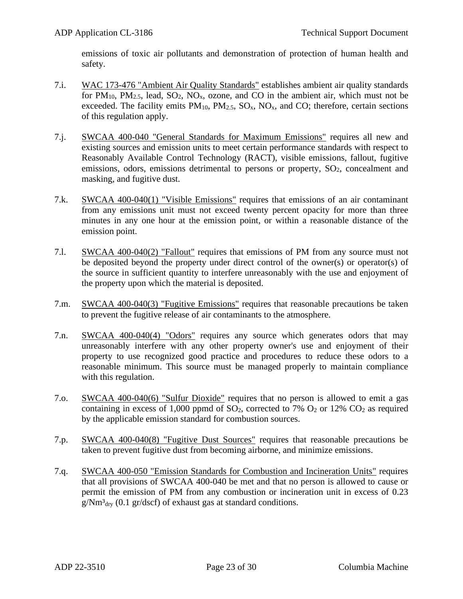emissions of toxic air pollutants and demonstration of protection of human health and safety.

- 7.i. WAC 173-476 "Ambient Air Quality Standards" establishes ambient air quality standards for  $PM_{10}$ ,  $PM_{2.5}$ , lead,  $SO_2$ ,  $NO_x$ , ozone, and  $CO$  in the ambient air, which must not be exceeded. The facility emits  $PM_{10}$ ,  $PM_{2.5}$ ,  $SO_x$ ,  $NO_x$ , and CO; therefore, certain sections of this regulation apply.
- 7.j. SWCAA 400-040 "General Standards for Maximum Emissions" requires all new and existing sources and emission units to meet certain performance standards with respect to Reasonably Available Control Technology (RACT), visible emissions, fallout, fugitive emissions, odors, emissions detrimental to persons or property,  $SO<sub>2</sub>$ , concealment and masking, and fugitive dust.
- 7.k. SWCAA 400-040(1) "Visible Emissions" requires that emissions of an air contaminant from any emissions unit must not exceed twenty percent opacity for more than three minutes in any one hour at the emission point, or within a reasonable distance of the emission point.
- 7.l. SWCAA 400-040(2) "Fallout" requires that emissions of PM from any source must not be deposited beyond the property under direct control of the owner(s) or operator(s) of the source in sufficient quantity to interfere unreasonably with the use and enjoyment of the property upon which the material is deposited.
- 7.m. SWCAA 400-040(3) "Fugitive Emissions" requires that reasonable precautions be taken to prevent the fugitive release of air contaminants to the atmosphere.
- 7.n. SWCAA 400-040(4) "Odors" requires any source which generates odors that may unreasonably interfere with any other property owner's use and enjoyment of their property to use recognized good practice and procedures to reduce these odors to a reasonable minimum. This source must be managed properly to maintain compliance with this regulation.
- 7.o. SWCAA 400-040(6) "Sulfur Dioxide" requires that no person is allowed to emit a gas containing in excess of 1,000 ppmd of  $SO_2$ , corrected to 7%  $O_2$  or 12%  $CO_2$  as required by the applicable emission standard for combustion sources.
- 7.p. SWCAA 400-040(8) "Fugitive Dust Sources" requires that reasonable precautions be taken to prevent fugitive dust from becoming airborne, and minimize emissions.
- 7.q. SWCAA 400-050 "Emission Standards for Combustion and Incineration Units" requires that all provisions of SWCAA 400-040 be met and that no person is allowed to cause or permit the emission of PM from any combustion or incineration unit in excess of 0.23  $g/Nm<sup>3</sup>$ <sub>dry</sub> (0.1 gr/dscf) of exhaust gas at standard conditions.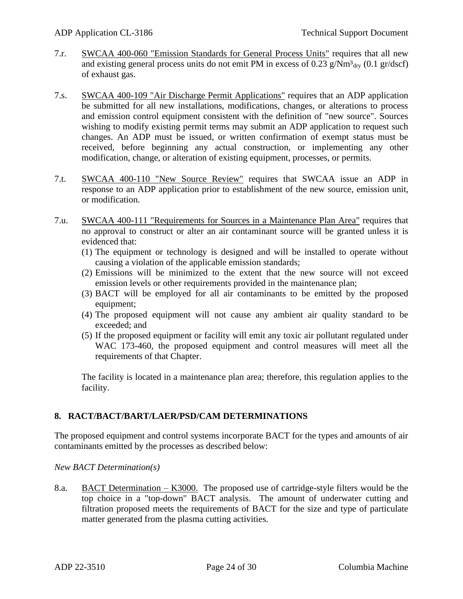- 7.r. SWCAA 400-060 "Emission Standards for General Process Units" requires that all new and existing general process units do not emit PM in excess of 0.23  $g/Nm<sup>3</sup>$ <sub>drv</sub> (0.1 gr/dscf) of exhaust gas.
- 7.s. SWCAA 400-109 "Air Discharge Permit Applications" requires that an ADP application be submitted for all new installations, modifications, changes, or alterations to process and emission control equipment consistent with the definition of "new source". Sources wishing to modify existing permit terms may submit an ADP application to request such changes. An ADP must be issued, or written confirmation of exempt status must be received, before beginning any actual construction, or implementing any other modification, change, or alteration of existing equipment, processes, or permits.
- 7.t. SWCAA 400-110 "New Source Review" requires that SWCAA issue an ADP in response to an ADP application prior to establishment of the new source, emission unit, or modification.
- 7.u. SWCAA 400-111 "Requirements for Sources in a Maintenance Plan Area" requires that no approval to construct or alter an air contaminant source will be granted unless it is evidenced that:
	- (1) The equipment or technology is designed and will be installed to operate without causing a violation of the applicable emission standards;
	- (2) Emissions will be minimized to the extent that the new source will not exceed emission levels or other requirements provided in the maintenance plan;
	- (3) BACT will be employed for all air contaminants to be emitted by the proposed equipment;
	- (4) The proposed equipment will not cause any ambient air quality standard to be exceeded; and
	- (5) If the proposed equipment or facility will emit any toxic air pollutant regulated under WAC 173-460, the proposed equipment and control measures will meet all the requirements of that Chapter.

The facility is located in a maintenance plan area; therefore, this regulation applies to the facility.

## **8. RACT/BACT/BART/LAER/PSD/CAM DETERMINATIONS**

The proposed equipment and control systems incorporate BACT for the types and amounts of air contaminants emitted by the processes as described below:

#### *New BACT Determination(s)*

8.a. BACT Determination – K3000. The proposed use of cartridge-style filters would be the top choice in a "top-down" BACT analysis. The amount of underwater cutting and filtration proposed meets the requirements of BACT for the size and type of particulate matter generated from the plasma cutting activities.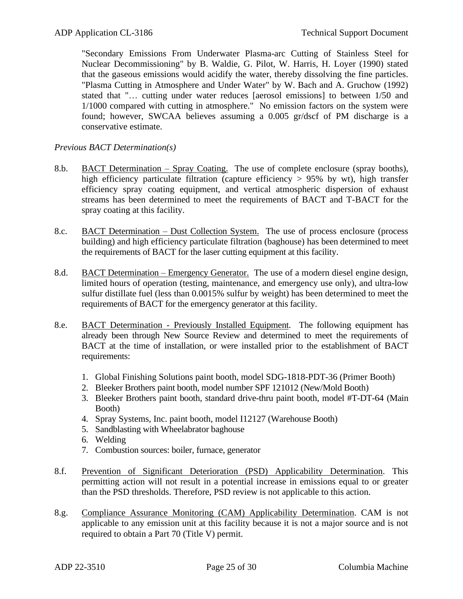"Secondary Emissions From Underwater Plasma-arc Cutting of Stainless Steel for Nuclear Decommissioning" by B. Waldie, G. Pilot, W. Harris, H. Loyer (1990) stated that the gaseous emissions would acidify the water, thereby dissolving the fine particles. "Plasma Cutting in Atmosphere and Under Water" by W. Bach and A. Gruchow (1992) stated that "… cutting under water reduces [aerosol emissions] to between 1/50 and 1/1000 compared with cutting in atmosphere." No emission factors on the system were found; however, SWCAA believes assuming a 0.005 gr/dscf of PM discharge is a conservative estimate.

#### *Previous BACT Determination(s)*

- 8.b. BACT Determination Spray Coating. The use of complete enclosure (spray booths), high efficiency particulate filtration (capture efficiency  $> 95\%$  by wt), high transfer efficiency spray coating equipment, and vertical atmospheric dispersion of exhaust streams has been determined to meet the requirements of BACT and T-BACT for the spray coating at this facility.
- 8.c. BACT Determination Dust Collection System. The use of process enclosure (process building) and high efficiency particulate filtration (baghouse) has been determined to meet the requirements of BACT for the laser cutting equipment at this facility.
- 8.d. BACT Determination Emergency Generator. The use of a modern diesel engine design, limited hours of operation (testing, maintenance, and emergency use only), and ultra-low sulfur distillate fuel (less than 0.0015% sulfur by weight) has been determined to meet the requirements of BACT for the emergency generator at this facility.
- 8.e. BACT Determination Previously Installed Equipment. The following equipment has already been through New Source Review and determined to meet the requirements of BACT at the time of installation, or were installed prior to the establishment of BACT requirements:
	- 1. Global Finishing Solutions paint booth, model SDG-1818-PDT-36 (Primer Booth)
	- 2. Bleeker Brothers paint booth, model number SPF 121012 (New/Mold Booth)
	- 3. Bleeker Brothers paint booth, standard drive-thru paint booth, model #T-DT-64 (Main Booth)
	- 4. Spray Systems, Inc. paint booth, model I12127 (Warehouse Booth)
	- 5. Sandblasting with Wheelabrator baghouse
	- 6. Welding
	- 7. Combustion sources: boiler, furnace, generator
- 8.f. Prevention of Significant Deterioration (PSD) Applicability Determination. This permitting action will not result in a potential increase in emissions equal to or greater than the PSD thresholds. Therefore, PSD review is not applicable to this action.
- 8.g. Compliance Assurance Monitoring (CAM) Applicability Determination. CAM is not applicable to any emission unit at this facility because it is not a major source and is not required to obtain a Part 70 (Title V) permit.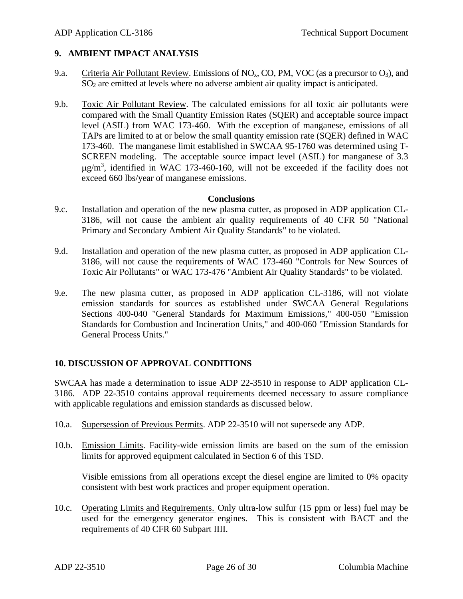#### **9. AMBIENT IMPACT ANALYSIS**

- 9.a. Criteria Air Pollutant Review. Emissions of  $NO<sub>x</sub>$ , CO, PM, VOC (as a precursor to  $O<sub>3</sub>$ ), and SO<sup>2</sup> are emitted at levels where no adverse ambient air quality impact is anticipated.
- 9.b. Toxic Air Pollutant Review. The calculated emissions for all toxic air pollutants were compared with the Small Quantity Emission Rates (SQER) and acceptable source impact level (ASIL) from WAC 173-460. With the exception of manganese, emissions of all TAPs are limited to at or below the small quantity emission rate (SQER) defined in WAC 173-460. The manganese limit established in SWCAA 95-1760 was determined using T-SCREEN modeling. The acceptable source impact level (ASIL) for manganese of 3.3  $\mu$ g/m<sup>3</sup>, identified in WAC 173-460-160, will not be exceeded if the facility does not exceed 660 lbs/year of manganese emissions.

#### **Conclusions**

- 9.c. Installation and operation of the new plasma cutter, as proposed in ADP application CL-3186, will not cause the ambient air quality requirements of 40 CFR 50 "National Primary and Secondary Ambient Air Quality Standards" to be violated.
- 9.d. Installation and operation of the new plasma cutter, as proposed in ADP application CL-3186, will not cause the requirements of WAC 173-460 "Controls for New Sources of Toxic Air Pollutants" or WAC 173-476 "Ambient Air Quality Standards" to be violated.
- 9.e. The new plasma cutter, as proposed in ADP application CL-3186, will not violate emission standards for sources as established under SWCAA General Regulations Sections 400-040 "General Standards for Maximum Emissions," 400-050 "Emission Standards for Combustion and Incineration Units," and 400-060 "Emission Standards for General Process Units."

## **10. DISCUSSION OF APPROVAL CONDITIONS**

SWCAA has made a determination to issue ADP 22-3510 in response to ADP application CL-3186. ADP 22-3510 contains approval requirements deemed necessary to assure compliance with applicable regulations and emission standards as discussed below.

- 10.a. Supersession of Previous Permits. ADP 22-3510 will not supersede any ADP.
- 10.b. Emission Limits. Facility-wide emission limits are based on the sum of the emission limits for approved equipment calculated in Section 6 of this TSD.

Visible emissions from all operations except the diesel engine are limited to 0% opacity consistent with best work practices and proper equipment operation.

10.c. Operating Limits and Requirements. Only ultra-low sulfur (15 ppm or less) fuel may be used for the emergency generator engines. This is consistent with BACT and the requirements of 40 CFR 60 Subpart IIII.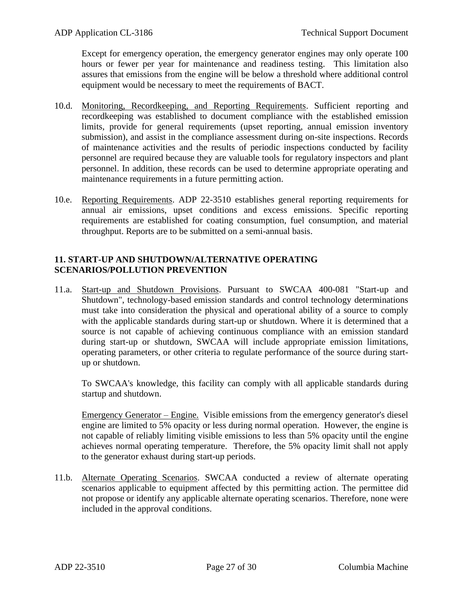Except for emergency operation, the emergency generator engines may only operate 100 hours or fewer per year for maintenance and readiness testing. This limitation also assures that emissions from the engine will be below a threshold where additional control equipment would be necessary to meet the requirements of BACT.

- 10.d. Monitoring, Recordkeeping, and Reporting Requirements. Sufficient reporting and recordkeeping was established to document compliance with the established emission limits, provide for general requirements (upset reporting, annual emission inventory submission), and assist in the compliance assessment during on-site inspections. Records of maintenance activities and the results of periodic inspections conducted by facility personnel are required because they are valuable tools for regulatory inspectors and plant personnel. In addition, these records can be used to determine appropriate operating and maintenance requirements in a future permitting action.
- 10.e. Reporting Requirements. ADP 22-3510 establishes general reporting requirements for annual air emissions, upset conditions and excess emissions. Specific reporting requirements are established for coating consumption, fuel consumption, and material throughput. Reports are to be submitted on a semi-annual basis.

## **11. START-UP AND SHUTDOWN/ALTERNATIVE OPERATING SCENARIOS/POLLUTION PREVENTION**

11.a. Start-up and Shutdown Provisions. Pursuant to SWCAA 400-081 "Start-up and Shutdown", technology-based emission standards and control technology determinations must take into consideration the physical and operational ability of a source to comply with the applicable standards during start-up or shutdown. Where it is determined that a source is not capable of achieving continuous compliance with an emission standard during start-up or shutdown, SWCAA will include appropriate emission limitations, operating parameters, or other criteria to regulate performance of the source during startup or shutdown.

To SWCAA's knowledge, this facility can comply with all applicable standards during startup and shutdown.

Emergency Generator – Engine. Visible emissions from the emergency generator's diesel engine are limited to 5% opacity or less during normal operation. However, the engine is not capable of reliably limiting visible emissions to less than 5% opacity until the engine achieves normal operating temperature. Therefore, the 5% opacity limit shall not apply to the generator exhaust during start-up periods.

11.b. Alternate Operating Scenarios. SWCAA conducted a review of alternate operating scenarios applicable to equipment affected by this permitting action. The permittee did not propose or identify any applicable alternate operating scenarios. Therefore, none were included in the approval conditions.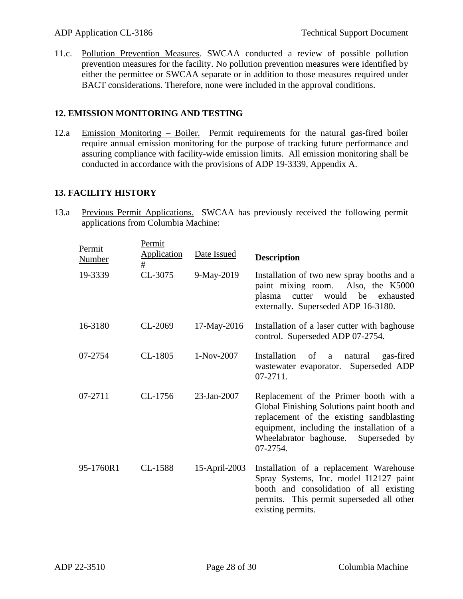11.c. Pollution Prevention Measures. SWCAA conducted a review of possible pollution prevention measures for the facility. No pollution prevention measures were identified by either the permittee or SWCAA separate or in addition to those measures required under BACT considerations. Therefore, none were included in the approval conditions.

## **12. EMISSION MONITORING AND TESTING**

12.a Emission Monitoring – Boiler. Permit requirements for the natural gas-fired boiler require annual emission monitoring for the purpose of tracking future performance and assuring compliance with facility-wide emission limits. All emission monitoring shall be conducted in accordance with the provisions of ADP 19-3339, Appendix A.

## **13. FACILITY HISTORY**

13.a Previous Permit Applications. SWCAA has previously received the following permit applications from Columbia Machine:

| Permit<br><b>Number</b> | Permit<br><b>Application</b> | Date Issued   | <b>Description</b>                                                                                                                                                                                                                    |
|-------------------------|------------------------------|---------------|---------------------------------------------------------------------------------------------------------------------------------------------------------------------------------------------------------------------------------------|
| 19-3339                 | $\pm$<br>CL-3075             | 9-May-2019    | Installation of two new spray booths and a<br>paint mixing room.<br>Also, the K5000<br>would<br>be<br>plasma<br>cutter<br>exhausted<br>externally. Superseded ADP 16-3180.                                                            |
| 16-3180                 | CL-2069                      | 17-May-2016   | Installation of a laser cutter with baghouse<br>control. Superseded ADP 07-2754.                                                                                                                                                      |
| 07-2754                 | $CL-1805$                    | 1-Nov-2007    | Installation<br>of<br>natural<br>gas-fired<br>a<br>Superseded ADP<br>wastewater evaporator.<br>07-2711.                                                                                                                               |
| 07-2711                 | CL-1756                      | 23-Jan-2007   | Replacement of the Primer booth with a<br>Global Finishing Solutions paint booth and<br>replacement of the existing sandblasting<br>equipment, including the installation of a<br>Wheelabrator baghouse.<br>Superseded by<br>07-2754. |
| 95-1760R1               | CL-1588                      | 15-April-2003 | Installation of a replacement Warehouse<br>Spray Systems, Inc. model I12127 paint<br>booth and consolidation of all existing<br>permits. This permit superseded all other<br>existing permits.                                        |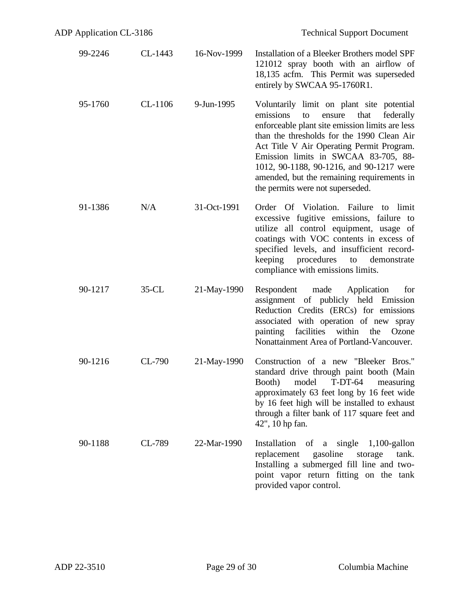| 99-2246 | CL-1443  | 16-Nov-1999 | Installation of a Bleeker Brothers model SPF<br>121012 spray booth with an airflow of<br>18,135 acfm. This Permit was superseded<br>entirely by SWCAA 95-1760R1.                                                                                                                                                                                                                                                |
|---------|----------|-------------|-----------------------------------------------------------------------------------------------------------------------------------------------------------------------------------------------------------------------------------------------------------------------------------------------------------------------------------------------------------------------------------------------------------------|
| 95-1760 | CL-1106  | 9-Jun-1995  | Voluntarily limit on plant site potential<br>emissions<br>ensure<br>that<br>to<br>federally<br>enforceable plant site emission limits are less<br>than the thresholds for the 1990 Clean Air<br>Act Title V Air Operating Permit Program.<br>Emission limits in SWCAA 83-705, 88-<br>1012, 90-1188, 90-1216, and 90-1217 were<br>amended, but the remaining requirements in<br>the permits were not superseded. |
| 91-1386 | N/A      | 31-Oct-1991 | Order Of Violation. Failure to<br>limit<br>excessive fugitive emissions, failure to<br>utilize all control equipment, usage of<br>coatings with VOC contents in excess of<br>specified levels, and insufficient record-<br>keeping procedures<br>demonstrate<br>to<br>compliance with emissions limits.                                                                                                         |
| 90-1217 | $35$ -CL | 21-May-1990 | Respondent made Application<br>for<br>assignment of publicly held Emission<br>Reduction Credits (ERCs) for emissions<br>associated with operation of new spray<br>facilities<br>painting<br>within the<br>Ozone<br>Nonattainment Area of Portland-Vancouver.                                                                                                                                                    |
| 90-1216 | CL-790   | 21-May-1990 | Construction of a new "Bleeker Bros."<br>standard drive through paint booth (Main<br>Booth) model T-DT-64 measuring<br>approximately 63 feet long by 16 feet wide<br>by 16 feet high will be installed to exhaust<br>through a filter bank of 117 square feet and<br>42", 10 hp fan.                                                                                                                            |
| 90-1188 | CL-789   | 22-Mar-1990 | Installation of a single<br>$1,100$ -gallon<br>replacement<br>gasoline<br>storage<br>tank.<br>Installing a submerged fill line and two-<br>point vapor return fitting on the tank<br>provided vapor control.                                                                                                                                                                                                    |